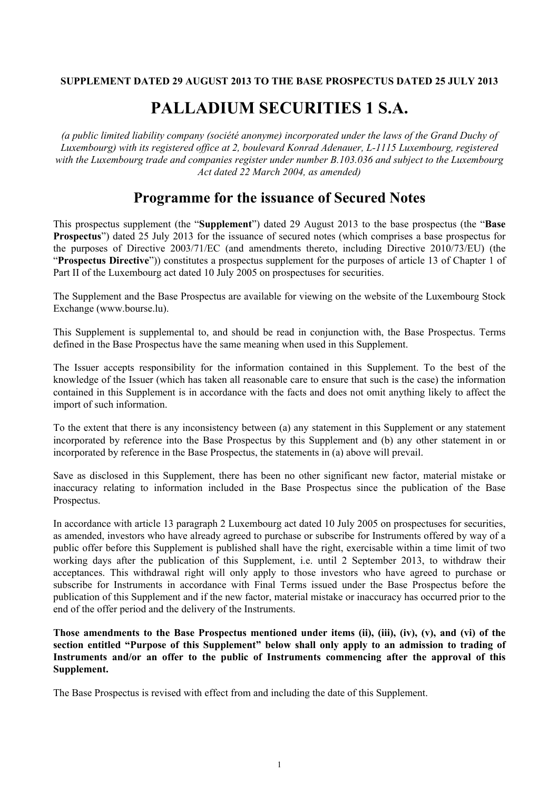## **SUPPLEMENT DATED 29 AUGUST 2013 TO THE BASE PROSPECTUS DATED 25 JULY 2013**

# **PALLADIUM SECURITIES 1 S.A.**

*(a public limited liability company (société anonyme) incorporated under the laws of the Grand Duchy of Luxembourg) with its registered office at 2, boulevard Konrad Adenauer, L-1115 Luxembourg, registered with the Luxembourg trade and companies register under number B.103.036 and subject to the Luxembourg Act dated 22 March 2004, as amended)*

## **Programme for the issuance of Secured Notes**

This prospectus supplement (the "**Supplement**") dated 29 August 2013 to the base prospectus (the "**Base Prospectus**") dated 25 July 2013 for the issuance of secured notes (which comprises a base prospectus for the purposes of Directive 2003/71/EC (and amendments thereto, including Directive 2010/73/EU) (the "**Prospectus Directive**")) constitutes a prospectus supplement for the purposes of article 13 of Chapter 1 of Part II of the Luxembourg act dated 10 July 2005 on prospectuses for securities.

The Supplement and the Base Prospectus are available for viewing on the website of the Luxembourg Stock Exchange (www.bourse.lu).

This Supplement is supplemental to, and should be read in conjunction with, the Base Prospectus. Terms defined in the Base Prospectus have the same meaning when used in this Supplement.

The Issuer accepts responsibility for the information contained in this Supplement. To the best of the knowledge of the Issuer (which has taken all reasonable care to ensure that such is the case) the information contained in this Supplement is in accordance with the facts and does not omit anything likely to affect the import of such information.

To the extent that there is any inconsistency between (a) any statement in this Supplement or any statement incorporated by reference into the Base Prospectus by this Supplement and (b) any other statement in or incorporated by reference in the Base Prospectus, the statements in (a) above will prevail.

Save as disclosed in this Supplement, there has been no other significant new factor, material mistake or inaccuracy relating to information included in the Base Prospectus since the publication of the Base Prospectus.

In accordance with article 13 paragraph 2 Luxembourg act dated 10 July 2005 on prospectuses for securities, as amended, investors who have already agreed to purchase or subscribe for Instruments offered by way of a public offer before this Supplement is published shall have the right, exercisable within a time limit of two working days after the publication of this Supplement, i.e. until 2 September 2013, to withdraw their acceptances. This withdrawal right will only apply to those investors who have agreed to purchase or subscribe for Instruments in accordance with Final Terms issued under the Base Prospectus before the publication of this Supplement and if the new factor, material mistake or inaccuracy has occurred prior to the end of the offer period and the delivery of the Instruments.

**Those amendments to the Base Prospectus mentioned under items (ii), (iii), (iv), (v), and (vi) of the section entitled "Purpose of this Supplement" below shall only apply to an admission to trading of Instruments and/or an offer to the public of Instruments commencing after the approval of this Supplement.**

The Base Prospectus is revised with effect from and including the date of this Supplement.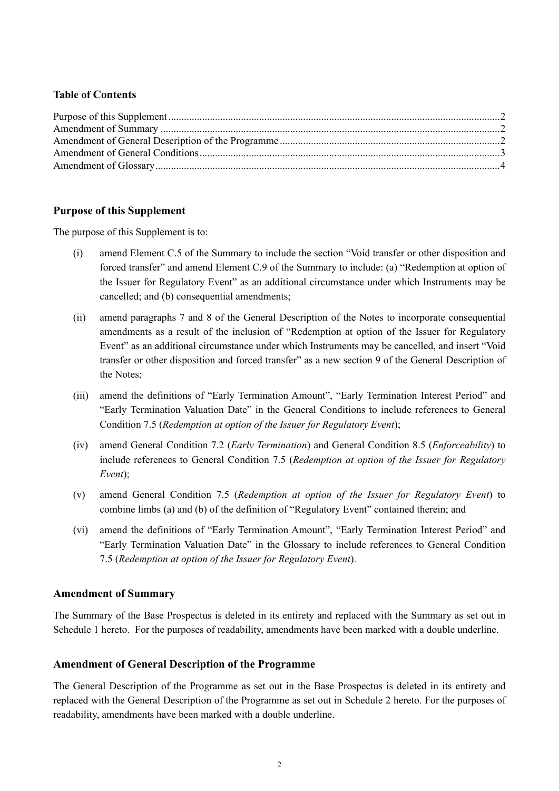## **Table of Contents**

## **Purpose of this Supplement**

The purpose of this Supplement is to:

- (i) amend Element C.5 of the Summary to include the section "Void transfer or other disposition and forced transfer" and amend Element C.9 of the Summary to include: (a) "Redemption at option of the Issuer for Regulatory Event" as an additional circumstance under which Instruments may be cancelled; and (b) consequential amendments;
- (ii) amend paragraphs 7 and 8 of the General Description of the Notes to incorporate consequential amendments as a result of the inclusion of "Redemption at option of the Issuer for Regulatory Event" as an additional circumstance under which Instruments may be cancelled, and insert "Void transfer or other disposition and forced transfer" as a new section 9 of the General Description of the Notes;
- (iii) amend the definitions of "Early Termination Amount", "Early Termination Interest Period" and "Early Termination Valuation Date" in the General Conditions to include references to General Condition 7.5 (*Redemption at option of the Issuer for Regulatory Event*);
- (iv) amend General Condition 7.2 (*Early Termination*) and General Condition 8.5 (*Enforceability*) to include references to General Condition 7.5 (*Redemption at option of the Issuer for Regulatory Event*);
- (v) amend General Condition 7.5 (*Redemption at option of the Issuer for Regulatory Event*) to combine limbs (a) and (b) of the definition of "Regulatory Event" contained therein; and
- (vi) amend the definitions of "Early Termination Amount", "Early Termination Interest Period" and "Early Termination Valuation Date" in the Glossary to include references to General Condition 7.5 (*Redemption at option of the Issuer for Regulatory Event*).

## **Amendment of Summary**

The Summary of the Base Prospectus is deleted in its entirety and replaced with the Summary as set out in Schedule 1 hereto. For the purposes of readability, amendments have been marked with a double underline.

## **Amendment of General Description of the Programme**

The General Description of the Programme as set out in the Base Prospectus is deleted in its entirety and replaced with the General Description of the Programme as set out in Schedule 2 hereto. For the purposes of readability, amendments have been marked with a double underline.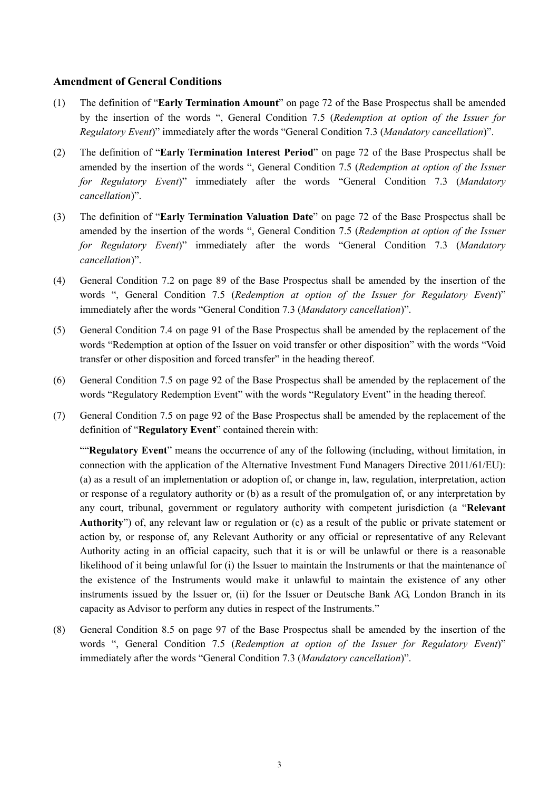## **Amendment of General Conditions**

- (1) The definition of "**Early Termination Amount**" on page 72 of the Base Prospectus shall be amended by the insertion of the words ", General Condition 7.5 (*Redemption at option of the Issuer for Regulatory Event*)" immediately after the words "General Condition 7.3 (*Mandatory cancellation*)".
- (2) The definition of "**Early Termination Interest Period**" on page 72 of the Base Prospectus shall be amended by the insertion of the words ", General Condition 7.5 (*Redemption at option of the Issuer for Regulatory Event*)" immediately after the words "General Condition 7.3 (*Mandatory cancellation*)".
- (3) The definition of "**Early Termination Valuation Date**" on page 72 of the Base Prospectus shall be amended by the insertion of the words ", General Condition 7.5 (*Redemption at option of the Issuer for Regulatory Event*)" immediately after the words "General Condition 7.3 (*Mandatory cancellation*)".
- (4) General Condition 7.2 on page 89 of the Base Prospectus shall be amended by the insertion of the words ", General Condition 7.5 (*Redemption at option of the Issuer for Regulatory Event*)" immediately after the words "General Condition 7.3 (*Mandatory cancellation*)".
- (5) General Condition 7.4 on page 91 of the Base Prospectus shall be amended by the replacement of the words "Redemption at option of the Issuer on void transfer or other disposition" with the words "Void transfer or other disposition and forced transfer" in the heading thereof.
- (6) General Condition 7.5 on page 92 of the Base Prospectus shall be amended by the replacement of the words "Regulatory Redemption Event" with the words "Regulatory Event" in the heading thereof.
- (7) General Condition 7.5 on page 92 of the Base Prospectus shall be amended by the replacement of the definition of "**Regulatory Event**" contained therein with:

""**Regulatory Event**" means the occurrence of any of the following (including, without limitation, in connection with the application of the Alternative Investment Fund Managers Directive 2011/61/EU): (a) as a result of an implementation or adoption of, or change in, law, regulation, interpretation, action or response of a regulatory authority or (b) as a result of the promulgation of, or any interpretation by any court, tribunal, government or regulatory authority with competent jurisdiction (a "**Relevant Authority**") of, any relevant law or regulation or (c) as a result of the public or private statement or action by, or response of, any Relevant Authority or any official or representative of any Relevant Authority acting in an official capacity, such that it is or will be unlawful or there is a reasonable likelihood of it being unlawful for (i) the Issuer to maintain the Instruments or that the maintenance of the existence of the Instruments would make it unlawful to maintain the existence of any other instruments issued by the Issuer or, (ii) for the Issuer or Deutsche Bank AG, London Branch in its capacity as Advisor to perform any duties in respect of the Instruments."

(8) General Condition 8.5 on page 97 of the Base Prospectus shall be amended by the insertion of the words ", General Condition 7.5 (*Redemption at option of the Issuer for Regulatory Event*)" immediately after the words "General Condition 7.3 (*Mandatory cancellation*)".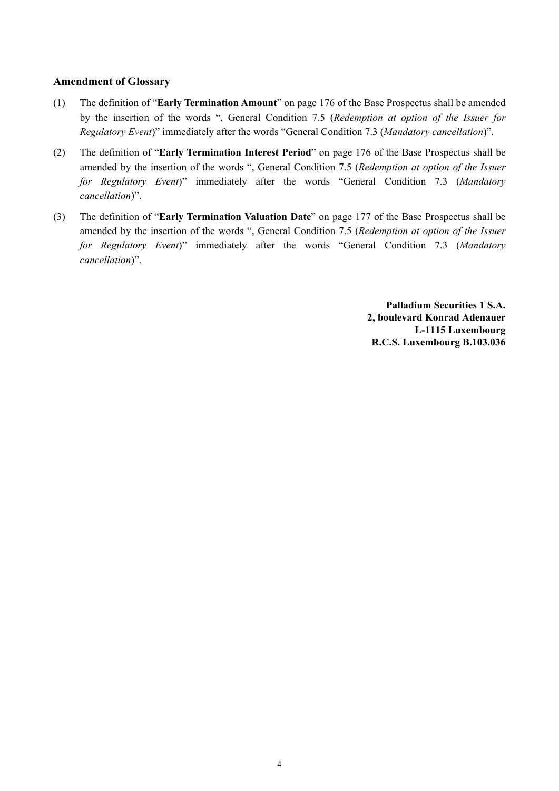## **Amendment of Glossary**

- (1) The definition of "**Early Termination Amount**" on page 176 of the Base Prospectus shall be amended by the insertion of the words ", General Condition 7.5 (*Redemption at option of the Issuer for Regulatory Event*)" immediately after the words "General Condition 7.3 (*Mandatory cancellation*)".
- (2) The definition of "**Early Termination Interest Period**" on page 176 of the Base Prospectus shall be amended by the insertion of the words ", General Condition 7.5 (*Redemption at option of the Issuer for Regulatory Event*)" immediately after the words "General Condition 7.3 (*Mandatory cancellation*)".
- (3) The definition of "**Early Termination Valuation Date**" on page 177 of the Base Prospectus shall be amended by the insertion of the words ", General Condition 7.5 (*Redemption at option of the Issuer for Regulatory Event*)" immediately after the words "General Condition 7.3 (*Mandatory cancellation*)".

**Palladium Securities 1 S.A. 2, boulevard Konrad Adenauer L-1115 Luxembourg R.C.S. Luxembourg B.103.036**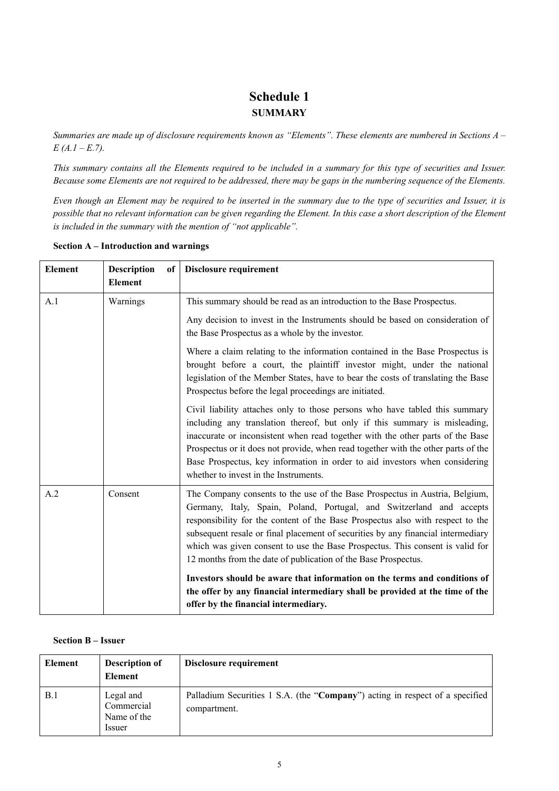## **Schedule 1 SUMMARY**

*Summaries are made up of disclosure requirements known as "Elements". These elements are numbered in Sections A – E (A.1 – E.7).*

*This summary contains all the Elements required to be included in a summary for this type of securities and Issuer. Because some Elements are not required to be addressed, there may be gaps in the numbering sequence of the Elements.*

*Even though an Element may be required to be inserted in the summary due to the type of securities and Issuer, it is possible that no relevant information can be given regarding the Element. In this case a short description of the Element is included in the summary with the mention of "not applicable".*

| <b>Element</b> | <b>Description</b><br>of<br><b>Element</b> | Disclosure requirement                                                                                                                                                                                                                                                                                                                                                                                                                                                                                                                                                                                                                    |
|----------------|--------------------------------------------|-------------------------------------------------------------------------------------------------------------------------------------------------------------------------------------------------------------------------------------------------------------------------------------------------------------------------------------------------------------------------------------------------------------------------------------------------------------------------------------------------------------------------------------------------------------------------------------------------------------------------------------------|
| A.1            | Warnings                                   | This summary should be read as an introduction to the Base Prospectus.                                                                                                                                                                                                                                                                                                                                                                                                                                                                                                                                                                    |
|                |                                            | Any decision to invest in the Instruments should be based on consideration of<br>the Base Prospectus as a whole by the investor.                                                                                                                                                                                                                                                                                                                                                                                                                                                                                                          |
|                |                                            | Where a claim relating to the information contained in the Base Prospectus is<br>brought before a court, the plaintiff investor might, under the national<br>legislation of the Member States, have to bear the costs of translating the Base<br>Prospectus before the legal proceedings are initiated.                                                                                                                                                                                                                                                                                                                                   |
|                |                                            | Civil liability attaches only to those persons who have tabled this summary<br>including any translation thereof, but only if this summary is misleading,<br>inaccurate or inconsistent when read together with the other parts of the Base<br>Prospectus or it does not provide, when read together with the other parts of the<br>Base Prospectus, key information in order to aid investors when considering<br>whether to invest in the Instruments.                                                                                                                                                                                  |
| A.2            | Consent                                    | The Company consents to the use of the Base Prospectus in Austria, Belgium,<br>Germany, Italy, Spain, Poland, Portugal, and Switzerland and accepts<br>responsibility for the content of the Base Prospectus also with respect to the<br>subsequent resale or final placement of securities by any financial intermediary<br>which was given consent to use the Base Prospectus. This consent is valid for<br>12 months from the date of publication of the Base Prospectus.<br>Investors should be aware that information on the terms and conditions of<br>the offer by any financial intermediary shall be provided at the time of the |
|                |                                            | offer by the financial intermediary.                                                                                                                                                                                                                                                                                                                                                                                                                                                                                                                                                                                                      |

**Section A – Introduction and warnings**

#### **Section B – Issuer**

| Element | <b>Description of</b><br>Element                       | Disclosure requirement                                                                       |
|---------|--------------------------------------------------------|----------------------------------------------------------------------------------------------|
| B.1     | Legal and<br>Commercial<br>Name of the<br><i>ssuer</i> | Palladium Securities 1 S.A. (the "Company") acting in respect of a specified<br>compartment. |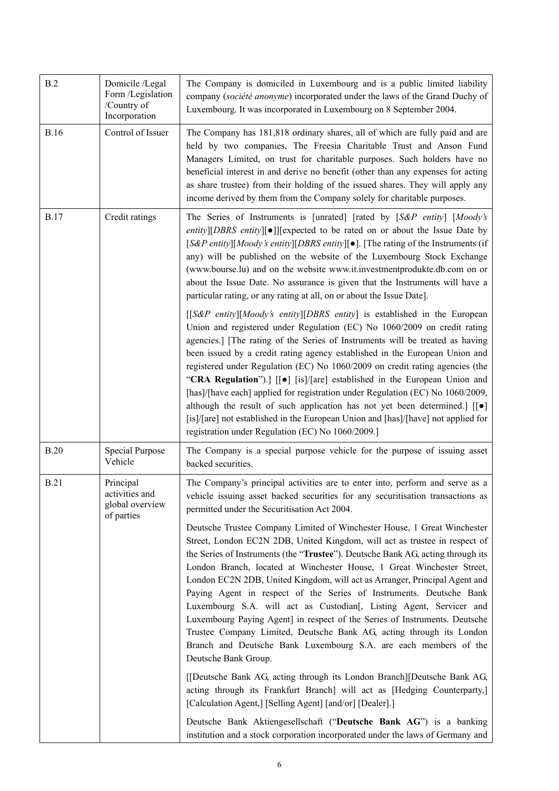| B.2         | Domicile /Legal<br>Form /Legislation<br>/Country of<br>Incorporation | The Company is domiciled in Luxembourg and is a public limited liability<br>company (société anonyme) incorporated under the laws of the Grand Duchy of<br>Luxembourg. It was incorporated in Luxembourg on 8 September 2004.                                                                                                                                                                                                                                                                                                                                                                                                                                                                                                                                                                                                |
|-------------|----------------------------------------------------------------------|------------------------------------------------------------------------------------------------------------------------------------------------------------------------------------------------------------------------------------------------------------------------------------------------------------------------------------------------------------------------------------------------------------------------------------------------------------------------------------------------------------------------------------------------------------------------------------------------------------------------------------------------------------------------------------------------------------------------------------------------------------------------------------------------------------------------------|
| <b>B.16</b> | Control of Issuer                                                    | The Company has 181,818 ordinary shares, all of which are fully paid and are<br>held by two companies, The Freesia Charitable Trust and Anson Fund<br>Managers Limited, on trust for charitable purposes. Such holders have no<br>beneficial interest in and derive no benefit (other than any expenses for acting<br>as share trustee) from their holding of the issued shares. They will apply any<br>income derived by them from the Company solely for charitable purposes.                                                                                                                                                                                                                                                                                                                                              |
| <b>B.17</b> | Credit ratings                                                       | The Series of Instruments is [unrated] [rated by [S&P entity] [Moody's<br>entity][DBRS entity][•]][expected to be rated on or about the Issue Date by<br>[S&P entity][Moody's entity][DBRS entity][•]. [The rating of the Instruments (if<br>any) will be published on the website of the Luxembourg Stock Exchange<br>(www.bourse.lu) and on the website www.it.investmentprodukte.db.com on or<br>about the Issue Date. No assurance is given that the Instruments will have a<br>particular rating, or any rating at all, on or about the Issue Date].                                                                                                                                                                                                                                                                    |
|             |                                                                      | $[$ [S&P entity][Moody's entity][DBRS entity] is established in the European<br>Union and registered under Regulation (EC) No 1060/2009 on credit rating<br>agencies.] [The rating of the Series of Instruments will be treated as having<br>been issued by a credit rating agency established in the European Union and<br>registered under Regulation (EC) No 1060/2009 on credit rating agencies (the<br>"CRA Regulation").] [[ $\bullet$ ] [is]/[are] established in the European Union and<br>[has]/[have each] applied for registration under Regulation (EC) No 1060/2009,<br>although the result of such application has not yet been determined.] $\lfloor \cdot \rfloor$<br>[is]/[are] not established in the European Union and [has]/[have] not applied for<br>registration under Regulation (EC) No 1060/2009.] |
| <b>B.20</b> | Special Purpose<br>Vehicle                                           | The Company is a special purpose vehicle for the purpose of issuing asset<br>backed securities.                                                                                                                                                                                                                                                                                                                                                                                                                                                                                                                                                                                                                                                                                                                              |
| <b>B.21</b> | Principal<br>activities and<br>global overview<br>of parties         | The Company's principal activities are to enter into, perform and serve as a<br>vehicle issuing asset backed securities for any securitisation transactions as<br>permitted under the Securitisation Act 2004.                                                                                                                                                                                                                                                                                                                                                                                                                                                                                                                                                                                                               |
|             |                                                                      | Deutsche Trustee Company Limited of Winchester House, 1 Great Winchester<br>Street, London EC2N 2DB, United Kingdom, will act as trustee in respect of<br>the Series of Instruments (the "Trustee"). Deutsche Bank AG, acting through its<br>London Branch, located at Winchester House, 1 Great Winchester Street,<br>London EC2N 2DB, United Kingdom, will act as Arranger, Principal Agent and<br>Paying Agent in respect of the Series of Instruments. Deutsche Bank<br>Luxembourg S.A. will act as Custodian[, Listing Agent, Servicer and<br>Luxembourg Paying Agent] in respect of the Series of Instruments. Deutsche<br>Trustee Company Limited, Deutsche Bank AG, acting through its London<br>Branch and Deutsche Bank Luxembourg S.A. are each members of the<br>Deutsche Bank Group.                            |
|             |                                                                      | [[Deutsche Bank AG, acting through its London Branch][Deutsche Bank AG,<br>acting through its Frankfurt Branch] will act as [Hedging Counterparty,]<br>[Calculation Agent,] [Selling Agent] [and/or] [Dealer].]                                                                                                                                                                                                                                                                                                                                                                                                                                                                                                                                                                                                              |
|             |                                                                      | Deutsche Bank Aktiengesellschaft ("Deutsche Bank AG") is a banking<br>institution and a stock corporation incorporated under the laws of Germany and                                                                                                                                                                                                                                                                                                                                                                                                                                                                                                                                                                                                                                                                         |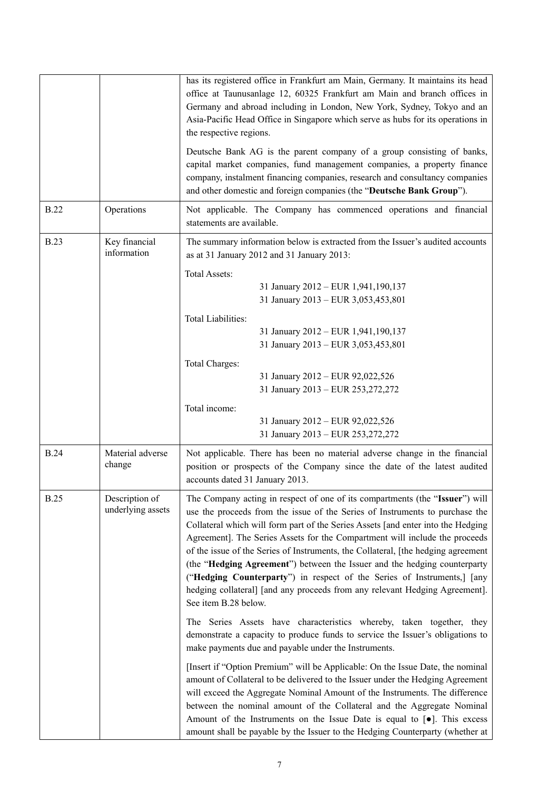|             |                                     | has its registered office in Frankfurt am Main, Germany. It maintains its head<br>office at Taunusanlage 12, 60325 Frankfurt am Main and branch offices in<br>Germany and abroad including in London, New York, Sydney, Tokyo and an<br>Asia-Pacific Head Office in Singapore which serve as hubs for its operations in<br>the respective regions.                                                                                                                                                                                                                                                                                                                                  |
|-------------|-------------------------------------|-------------------------------------------------------------------------------------------------------------------------------------------------------------------------------------------------------------------------------------------------------------------------------------------------------------------------------------------------------------------------------------------------------------------------------------------------------------------------------------------------------------------------------------------------------------------------------------------------------------------------------------------------------------------------------------|
|             |                                     | Deutsche Bank AG is the parent company of a group consisting of banks,<br>capital market companies, fund management companies, a property finance<br>company, instalment financing companies, research and consultancy companies<br>and other domestic and foreign companies (the "Deutsche Bank Group").                                                                                                                                                                                                                                                                                                                                                                           |
| <b>B.22</b> | Operations                          | Not applicable. The Company has commenced operations and financial<br>statements are available.                                                                                                                                                                                                                                                                                                                                                                                                                                                                                                                                                                                     |
| <b>B.23</b> | Key financial<br>information        | The summary information below is extracted from the Issuer's audited accounts<br>as at 31 January 2012 and 31 January 2013:<br><b>Total Assets:</b><br>31 January 2012 - EUR 1,941,190,137<br>31 January 2013 - EUR 3,053,453,801<br><b>Total Liabilities:</b><br>31 January 2012 - EUR 1,941,190,137<br>31 January 2013 - EUR 3,053,453,801<br><b>Total Charges:</b><br>31 January 2012 - EUR 92,022,526<br>31 January 2013 - EUR 253,272,272<br>Total income:                                                                                                                                                                                                                     |
|             |                                     | 31 January 2012 - EUR 92,022,526<br>31 January 2013 - EUR 253,272,272                                                                                                                                                                                                                                                                                                                                                                                                                                                                                                                                                                                                               |
| <b>B.24</b> | Material adverse<br>change          | Not applicable. There has been no material adverse change in the financial<br>position or prospects of the Company since the date of the latest audited<br>accounts dated 31 January 2013.                                                                                                                                                                                                                                                                                                                                                                                                                                                                                          |
| <b>B.25</b> | Description of<br>underlying assets | The Company acting in respect of one of its compartments (the "Issuer") will<br>use the proceeds from the issue of the Series of Instruments to purchase the<br>Collateral which will form part of the Series Assets [and enter into the Hedging<br>Agreement]. The Series Assets for the Compartment will include the proceeds<br>of the issue of the Series of Instruments, the Collateral, [the hedging agreement<br>(the "Hedging Agreement") between the Issuer and the hedging counterparty<br>("Hedging Counterparty") in respect of the Series of Instruments,] [any<br>hedging collateral] [and any proceeds from any relevant Hedging Agreement].<br>See item B.28 below. |
|             |                                     | The Series Assets have characteristics whereby, taken together, they<br>demonstrate a capacity to produce funds to service the Issuer's obligations to<br>make payments due and payable under the Instruments.                                                                                                                                                                                                                                                                                                                                                                                                                                                                      |
|             |                                     | [Insert if "Option Premium" will be Applicable: On the Issue Date, the nominal<br>amount of Collateral to be delivered to the Issuer under the Hedging Agreement<br>will exceed the Aggregate Nominal Amount of the Instruments. The difference<br>between the nominal amount of the Collateral and the Aggregate Nominal<br>Amount of the Instruments on the Issue Date is equal to $[•]$ . This excess<br>amount shall be payable by the Issuer to the Hedging Counterparty (whether at                                                                                                                                                                                           |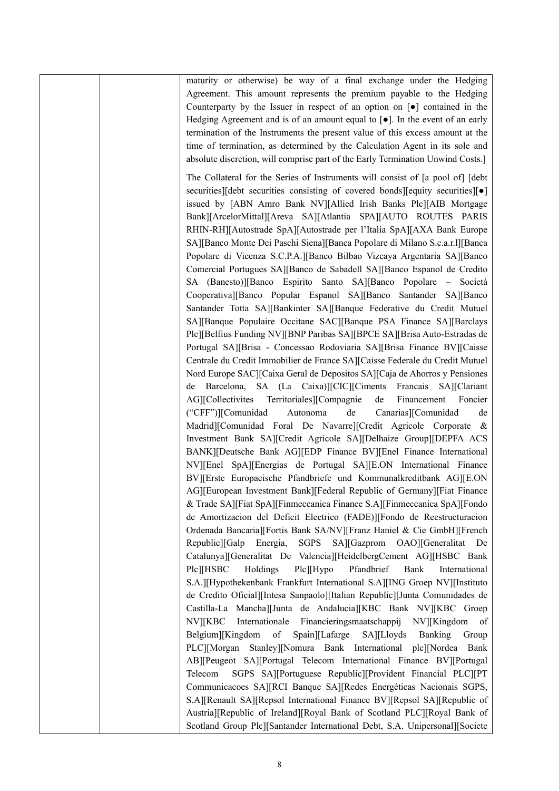|  | maturity or otherwise) be way of a final exchange under the Hedging                            |
|--|------------------------------------------------------------------------------------------------|
|  | Agreement. This amount represents the premium payable to the Hedging                           |
|  | Counterparty by the Issuer in respect of an option on $\lceil \bullet \rceil$ contained in the |
|  | Hedging Agreement and is of an amount equal to $[•]$ . In the event of an early                |
|  | termination of the Instruments the present value of this excess amount at the                  |
|  | time of termination, as determined by the Calculation Agent in its sole and                    |
|  |                                                                                                |
|  | absolute discretion, will comprise part of the Early Termination Unwind Costs.]                |
|  | The Collateral for the Series of Instruments will consist of [a pool of] [debt]                |
|  | securities][debt securities consisting of covered bonds][equity securities][ $\bullet$ ]       |
|  | issued by [ABN Amro Bank NV][Allied Irish Banks Plc][AIB Mortgage                              |
|  | Bank][ArcelorMittal][Areva SA][Atlantia SPA][AUTO ROUTES PARIS                                 |
|  | RHIN-RH][Autostrade SpA][Autostrade per l'Italia SpA][AXA Bank Europe                          |
|  | SA][Banco Monte Dei Paschi Siena][Banca Popolare di Milano S.c.a.r.1][Banca                    |
|  | Popolare di Vicenza S.C.P.A.][Banco Bilbao Vizcaya Argentaria SA][Banco                        |
|  | Comercial Portugues SA][Banco de Sabadell SA][Banco Espanol de Credito                         |
|  | SA (Banesto)][Banco Espirito Santo SA][Banco Popolare - Società                                |
|  | Cooperativa][Banco Popular Espanol SA][Banco Santander SA][Banco                               |
|  | Santander Totta SA][Bankinter SA][Banque Federative du Credit Mutuel                           |
|  | SA][Banque Populaire Occitane SAC][Banque PSA Finance SA][Barclays                             |
|  | Plc][Belfius Funding NV][BNP Paribas SA][BPCE SA][Brisa Auto-Estradas de                       |
|  | Portugal SA][Brisa - Concessao Rodoviaria SA][Brisa Finance BV][Caisse                         |
|  | Centrale du Credit Immobilier de France SA][Caisse Federale du Credit Mutuel                   |
|  | Nord Europe SAC][Caixa Geral de Depositos SA][Caja de Ahorros y Pensiones                      |
|  | Barcelona, SA (La Caixa)][CIC][Ciments Francais SA][Clariant<br>de                             |
|  | AG][Collectivites Territoriales][Compagnie<br>de<br>Financement<br>Foncier                     |
|  | ("CFF")][Comunidad<br>Autonoma<br>de<br>Canarias][Comunidad<br>de                              |
|  | Madrid][Comunidad Foral De Navarre][Credit Agricole Corporate &                                |
|  | Investment Bank SA][Credit Agricole SA][Delhaize Group][DEPFA ACS                              |
|  | BANK][Deutsche Bank AG][EDP Finance BV][Enel Finance International                             |
|  | NV][Enel SpA][Energias de Portugal SA][E.ON International Finance                              |
|  | BV][Erste Europaeische Pfandbriefe und Kommunalkreditbank AG][E.ON                             |
|  | AG][European Investment Bank][Federal Republic of Germany][Fiat Finance                        |
|  | & Trade SA][Fiat SpA][Finmeccanica Finance S.A][Finmeccanica SpA][Fondo                        |
|  | de Amortizacion del Deficit Electrico (FADE)][Fondo de Reestructuracion                        |
|  | Ordenada Bancaria][Fortis Bank SA/NV][Franz Haniel & Cie GmbH][French                          |
|  | Republic][Galp<br><b>SGPS</b><br>SA][Gazprom<br>OAO][Generalitat<br>Energia,<br>De             |
|  | Catalunya][Generalitat De Valencia][HeidelbergCement AG][HSBC Bank                             |
|  | Plc][HSBC Holdings<br>$Plc$   Hypo<br>Pfandbrief<br>Bank<br>International                      |
|  | S.A.][Hypothekenbank Frankfurt International S.A][ING Groep NV][Instituto                      |
|  | de Credito Oficial][Intesa Sanpaolo][Italian Republic][Junta Comunidades de                    |
|  | Castilla-La Mancha][Junta de Andalucia][KBC Bank NV][KBC Groep                                 |
|  | NV][KBC Internationale Financieringsmaatschappij NV][Kingdom<br>of                             |
|  | Belgium][Kingdom of<br>Spain][Lafarge SA][Lloyds Banking<br>Group                              |
|  |                                                                                                |
|  | PLC][Morgan Stanley][Nomura Bank International plc][Nordea Bank                                |
|  | AB][Peugeot SA][Portugal Telecom International Finance BV][Portugal                            |
|  | SGPS SA][Portuguese Republic][Provident Financial PLC][PT<br>Telecom                           |
|  | Communicacoes SA][RCI Banque SA][Redes Energéticas Nacionais SGPS,                             |
|  | S.A][Renault SA][Repsol International Finance BV][Repsol SA][Republic of                       |
|  | Austria][Republic of Ireland][Royal Bank of Scotland PLC][Royal Bank of                        |
|  | Scotland Group Plc][Santander International Debt, S.A. Unipersonal][Societe                    |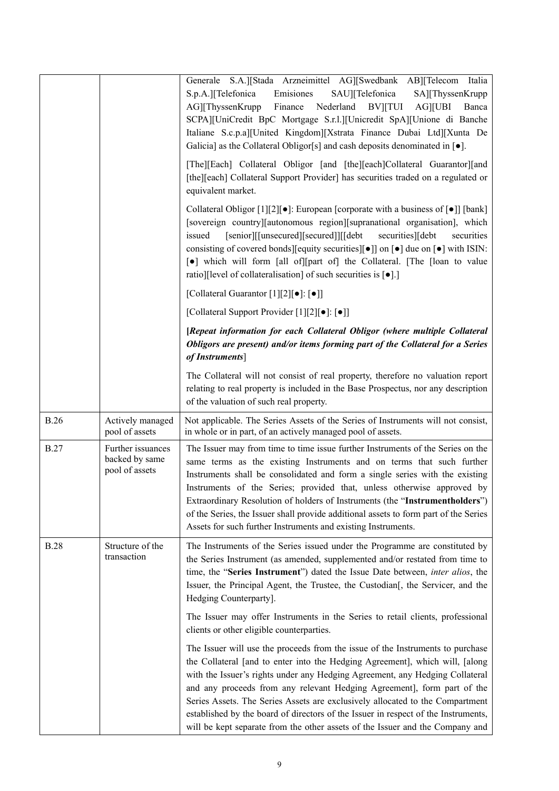|             |                                                       | Generale S.A.][Stada Arzneimittel AG][Swedbank AB][Telecom Italia<br>S.p.A.][Telefonica<br>Emisiones<br>SAU][Telefonica<br>SA][ThyssenKrupp<br>Nederland<br><b>AG][UBI</b><br>AG][ThyssenKrupp<br>Finance<br><b>BV</b> ][TUI<br>Banca<br>SCPA][UniCredit BpC Mortgage S.r.l.][Unicredit SpA][Unione di Banche<br>Italiane S.c.p.a][United Kingdom][Xstrata Finance Dubai Ltd][Xunta De<br>Galicia] as the Collateral Obligor[s] and cash deposits denominated in $\lceil \bullet \rceil$ .<br>[The][Each] Collateral Obligor [and [the][each]Collateral Guarantor][and<br>[the][each] Collateral Support Provider] has securities traded on a regulated or<br>equivalent market. |
|-------------|-------------------------------------------------------|----------------------------------------------------------------------------------------------------------------------------------------------------------------------------------------------------------------------------------------------------------------------------------------------------------------------------------------------------------------------------------------------------------------------------------------------------------------------------------------------------------------------------------------------------------------------------------------------------------------------------------------------------------------------------------|
|             |                                                       | Collateral Obligor [1][2][ $\bullet$ ]: European [corporate with a business of $\lceil\bullet\rceil$ ] [bank]<br>[sovereign country][autonomous region][supranational organisation], which<br>[senior][[unsecured][secured]][[debt]<br>securities<br>issued<br>securities][debt<br>consisting of covered bonds][equity securities][ $\bullet$ ]] on $[\bullet]$ due on $[\bullet]$ with ISIN:<br>[•] which will form [all of][part of] the Collateral. [The [loan to value<br>ratio][level of collateralisation] of such securities is $\lceil \bullet \rceil$ .]                                                                                                                |
|             |                                                       | [Collateral Guarantor [1][2][•]: [•]]                                                                                                                                                                                                                                                                                                                                                                                                                                                                                                                                                                                                                                            |
|             |                                                       | [Collateral Support Provider [1][2][•]: [•]]                                                                                                                                                                                                                                                                                                                                                                                                                                                                                                                                                                                                                                     |
|             |                                                       | [Repeat information for each Collateral Obligor (where multiple Collateral<br>Obligors are present) and/or items forming part of the Collateral for a Series<br>of Instruments]                                                                                                                                                                                                                                                                                                                                                                                                                                                                                                  |
|             |                                                       | The Collateral will not consist of real property, therefore no valuation report<br>relating to real property is included in the Base Prospectus, nor any description<br>of the valuation of such real property.                                                                                                                                                                                                                                                                                                                                                                                                                                                                  |
| <b>B.26</b> | Actively managed<br>pool of assets                    | Not applicable. The Series Assets of the Series of Instruments will not consist,<br>in whole or in part, of an actively managed pool of assets.                                                                                                                                                                                                                                                                                                                                                                                                                                                                                                                                  |
| <b>B.27</b> | Further issuances<br>backed by same<br>pool of assets | The Issuer may from time to time issue further Instruments of the Series on the<br>same terms as the existing Instruments and on terms that such further<br>Instruments shall be consolidated and form a single series with the existing<br>Instruments of the Series; provided that, unless otherwise approved by<br>Extraordinary Resolution of holders of Instruments (the "Instrumentholders")<br>of the Series, the Issuer shall provide additional assets to form part of the Series<br>Assets for such further Instruments and existing Instruments.                                                                                                                      |
| <b>B.28</b> | Structure of the<br>transaction                       | The Instruments of the Series issued under the Programme are constituted by<br>the Series Instrument (as amended, supplemented and/or restated from time to<br>time, the "Series Instrument") dated the Issue Date between, inter alios, the<br>Issuer, the Principal Agent, the Trustee, the Custodian [, the Servicer, and the<br>Hedging Counterparty].                                                                                                                                                                                                                                                                                                                       |
|             |                                                       | The Issuer may offer Instruments in the Series to retail clients, professional<br>clients or other eligible counterparties.                                                                                                                                                                                                                                                                                                                                                                                                                                                                                                                                                      |
|             |                                                       | The Issuer will use the proceeds from the issue of the Instruments to purchase<br>the Collateral [and to enter into the Hedging Agreement], which will, [along<br>with the Issuer's rights under any Hedging Agreement, any Hedging Collateral<br>and any proceeds from any relevant Hedging Agreement], form part of the<br>Series Assets. The Series Assets are exclusively allocated to the Compartment<br>established by the board of directors of the Issuer in respect of the Instruments,<br>will be kept separate from the other assets of the Issuer and the Company and                                                                                                |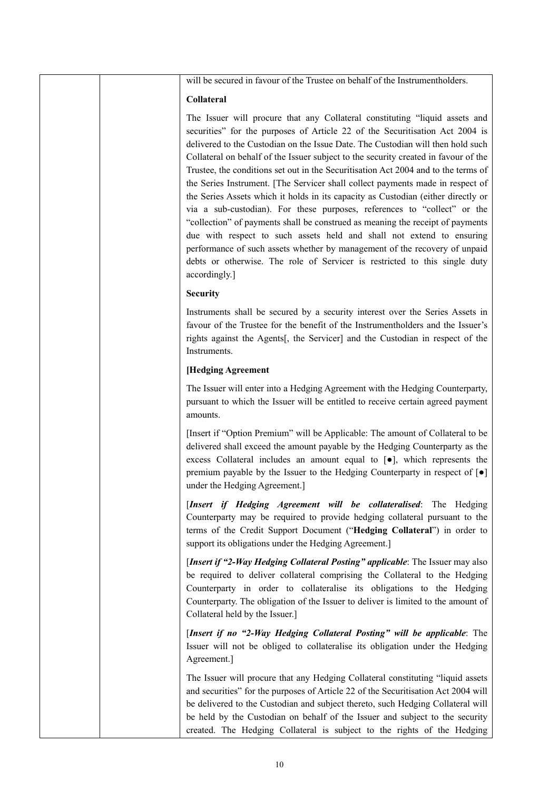will be secured in favour of the Trustee on behalf of the Instrumentholders.

#### **Collateral**

The Issuer will procure that any Collateral constituting "liquid assets and securities" for the purposes of Article 22 of the Securitisation Act 2004 is delivered to the Custodian on the Issue Date. The Custodian will then hold such Collateral on behalf of the Issuer subject to the security created in favour of the Trustee, the conditions set out in the Securitisation Act 2004 and to the terms of the Series Instrument. [The Servicer shall collect payments made in respect of the Series Assets which it holds in its capacity as Custodian (either directly or via a sub-custodian). For these purposes, references to "collect" or the "collection" of payments shall be construed as meaning the receipt of payments due with respect to such assets held and shall not extend to ensuring performance of such assets whether by management of the recovery of unpaid debts or otherwise. The role of Servicer is restricted to this single duty accordingly.]

#### **Security**

Instruments shall be secured by a security interest over the Series Assets in favour of the Trustee for the benefit of the Instrumentholders and the Issuer's rights against the Agents[, the Servicer] and the Custodian in respect of the Instruments.

#### **[Hedging Agreement**

The Issuer will enter into a Hedging Agreement with the Hedging Counterparty, pursuant to which the Issuer will be entitled to receive certain agreed payment amounts.

[Insert if "Option Premium" will be Applicable: The amount of Collateral to be delivered shall exceed the amount payable by the Hedging Counterparty as the excess Collateral includes an amount equal to [●], which represents the premium payable by the Issuer to the Hedging Counterparty in respect of [●] under the Hedging Agreement.]

[*Insert if Hedging Agreement will be collateralised*: The Hedging Counterparty may be required to provide hedging collateral pursuant to the terms of the Credit Support Document ("**Hedging Collateral**") in order to support its obligations under the Hedging Agreement.]

[*Insert if "2-Way Hedging Collateral Posting" applicable*: The Issuer may also be required to deliver collateral comprising the Collateral to the Hedging Counterparty in order to collateralise its obligations to the Hedging Counterparty. The obligation of the Issuer to deliver is limited to the amount of Collateral held by the Issuer.]

[*Insert if no "2-Way Hedging Collateral Posting" will be applicable*: The Issuer will not be obliged to collateralise its obligation under the Hedging Agreement.]

The Issuer will procure that any Hedging Collateral constituting "liquid assets and securities" for the purposes of Article 22 of the Securitisation Act 2004 will be delivered to the Custodian and subject thereto, such Hedging Collateral will be held by the Custodian on behalf of the Issuer and subject to the security created. The Hedging Collateral is subject to the rights of the Hedging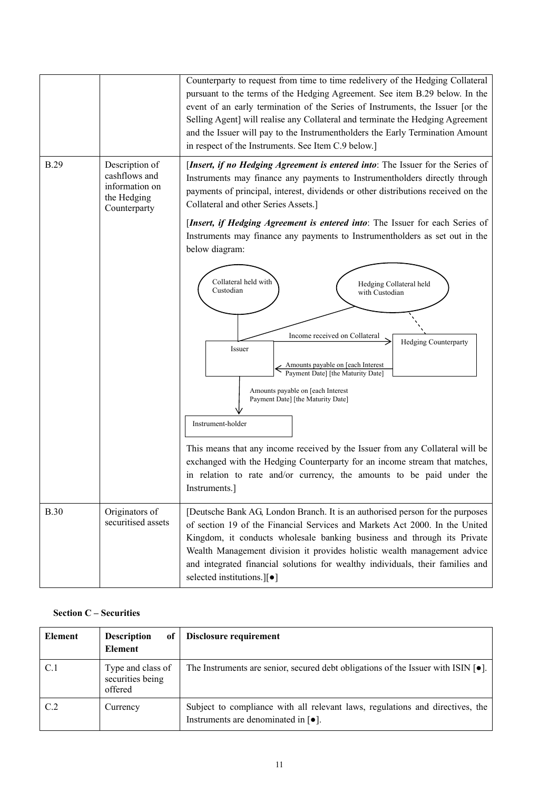|             |                                                                                  | Counterparty to request from time to time redelivery of the Hedging Collateral<br>pursuant to the terms of the Hedging Agreement. See item B.29 below. In the<br>event of an early termination of the Series of Instruments, the Issuer [or the<br>Selling Agent] will realise any Collateral and terminate the Hedging Agreement<br>and the Issuer will pay to the Instrumentholders the Early Termination Amount<br>in respect of the Instruments. See Item C.9 below.] |
|-------------|----------------------------------------------------------------------------------|---------------------------------------------------------------------------------------------------------------------------------------------------------------------------------------------------------------------------------------------------------------------------------------------------------------------------------------------------------------------------------------------------------------------------------------------------------------------------|
| <b>B.29</b> | Description of<br>cashflows and<br>information on<br>the Hedging<br>Counterparty | [Insert, if no Hedging Agreement is entered into: The Issuer for the Series of<br>Instruments may finance any payments to Instrumentholders directly through<br>payments of principal, interest, dividends or other distributions received on the<br>Collateral and other Series Assets.]                                                                                                                                                                                 |
|             |                                                                                  | [Insert, if Hedging Agreement is entered into: The Issuer for each Series of<br>Instruments may finance any payments to Instrumentholders as set out in the<br>below diagram:<br>Collateral held with<br>Hedging Collateral held<br>Custodian                                                                                                                                                                                                                             |
|             |                                                                                  | with Custodian<br>Income received on Collateral<br>Hedging Counterparty<br>Issuer<br>Amounts payable on [each Interest<br>Payment Date] [the Maturity Date]<br>Amounts payable on [each Interest]<br>Payment Date] [the Maturity Date]<br>Instrument-holder                                                                                                                                                                                                               |
|             |                                                                                  | This means that any income received by the Issuer from any Collateral will be<br>exchanged with the Hedging Counterparty for an income stream that matches,<br>in relation to rate and/or currency, the amounts to be paid under the<br>Instruments.                                                                                                                                                                                                                      |
| <b>B.30</b> | Originators of<br>securitised assets                                             | [Deutsche Bank AG, London Branch. It is an authorised person for the purposes<br>of section 19 of the Financial Services and Markets Act 2000. In the United<br>Kingdom, it conducts wholesale banking business and through its Private<br>Wealth Management division it provides holistic wealth management advice<br>and integrated financial solutions for wealthy individuals, their families and<br>selected institutions.][•]                                       |

## **Section C – Securities**

| <b>Element</b> | <b>Description</b><br>of<br><b>Element</b>       | Disclosure requirement                                                                                                                    |
|----------------|--------------------------------------------------|-------------------------------------------------------------------------------------------------------------------------------------------|
| C.1            | Type and class of<br>securities being<br>offered | The Instruments are senior, secured debt obligations of the Issuer with ISIN $\lceil \bullet \rceil$ .                                    |
| C.2            | Currency                                         | Subject to compliance with all relevant laws, regulations and directives, the<br>Instruments are denominated in $\lceil \bullet \rceil$ . |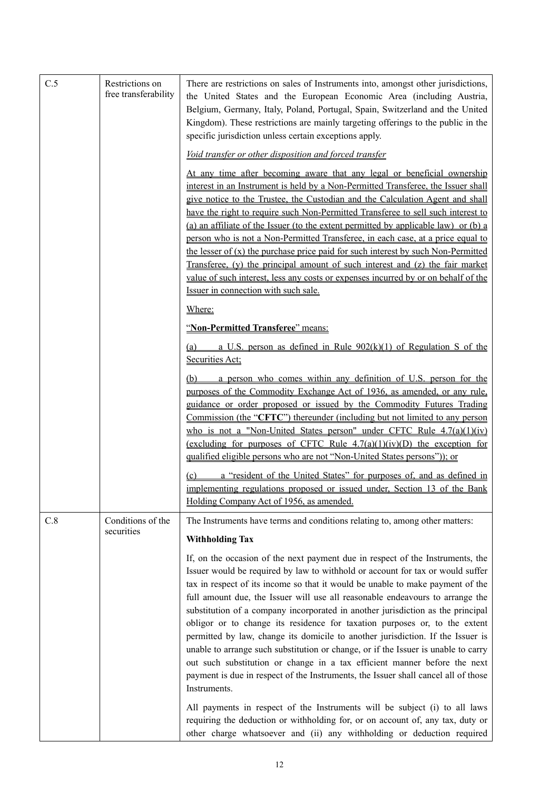| C.5 | Restrictions on<br>free transferability | There are restrictions on sales of Instruments into, amongst other jurisdictions,<br>the United States and the European Economic Area (including Austria,<br>Belgium, Germany, Italy, Poland, Portugal, Spain, Switzerland and the United<br>Kingdom). These restrictions are mainly targeting offerings to the public in the<br>specific jurisdiction unless certain exceptions apply.                                                                                                                                                                                                                                                                                                                                                                                                                                                                          |
|-----|-----------------------------------------|------------------------------------------------------------------------------------------------------------------------------------------------------------------------------------------------------------------------------------------------------------------------------------------------------------------------------------------------------------------------------------------------------------------------------------------------------------------------------------------------------------------------------------------------------------------------------------------------------------------------------------------------------------------------------------------------------------------------------------------------------------------------------------------------------------------------------------------------------------------|
|     |                                         | Void transfer or other disposition and forced transfer                                                                                                                                                                                                                                                                                                                                                                                                                                                                                                                                                                                                                                                                                                                                                                                                           |
|     |                                         | At any time after becoming aware that any legal or beneficial ownership<br>interest in an Instrument is held by a Non-Permitted Transferee, the Issuer shall<br>give notice to the Trustee, the Custodian and the Calculation Agent and shall<br>have the right to require such Non-Permitted Transferee to sell such interest to<br>(a) an affiliate of the Issuer (to the extent permitted by applicable law) or (b) a<br>person who is not a Non-Permitted Transferee, in each case, at a price equal to<br>the lesser of $(x)$ the purchase price paid for such interest by such Non-Permitted<br>Transferee, (y) the principal amount of such interest and (z) the fair market<br>value of such interest, less any costs or expenses incurred by or on behalf of the<br>Issuer in connection with such sale.                                                |
|     |                                         | Where:                                                                                                                                                                                                                                                                                                                                                                                                                                                                                                                                                                                                                                                                                                                                                                                                                                                           |
|     |                                         | "Non-Permitted Transferee" means:                                                                                                                                                                                                                                                                                                                                                                                                                                                                                                                                                                                                                                                                                                                                                                                                                                |
|     |                                         | a U.S. person as defined in Rule $902(k)(1)$ of Regulation S of the<br>(a)<br>Securities Act;                                                                                                                                                                                                                                                                                                                                                                                                                                                                                                                                                                                                                                                                                                                                                                    |
|     |                                         | a person who comes within any definition of U.S. person for the<br>(b)<br>purposes of the Commodity Exchange Act of 1936, as amended, or any rule,<br>guidance or order proposed or issued by the Commodity Futures Trading<br>Commission (the "CFTC") thereunder (including but not limited to any person<br>who is not a "Non-United States person" under CFTC Rule $4.7(a)(1)(iv)$<br>(excluding for purposes of CFTC Rule $4.7(a)(1)(iv)(D)$ the exception for<br>qualified eligible persons who are not "Non-United States persons")); or                                                                                                                                                                                                                                                                                                                   |
|     |                                         | a "resident of the United States" for purposes of, and as defined in<br>(c)<br>implementing regulations proposed or issued under, Section 13 of the Bank<br>Holding Company Act of 1956, as amended.                                                                                                                                                                                                                                                                                                                                                                                                                                                                                                                                                                                                                                                             |
| C.8 | Conditions of the<br>securities         | The Instruments have terms and conditions relating to, among other matters:                                                                                                                                                                                                                                                                                                                                                                                                                                                                                                                                                                                                                                                                                                                                                                                      |
|     |                                         | <b>Withholding Tax</b>                                                                                                                                                                                                                                                                                                                                                                                                                                                                                                                                                                                                                                                                                                                                                                                                                                           |
|     |                                         | If, on the occasion of the next payment due in respect of the Instruments, the<br>Issuer would be required by law to withhold or account for tax or would suffer<br>tax in respect of its income so that it would be unable to make payment of the<br>full amount due, the Issuer will use all reasonable endeavours to arrange the<br>substitution of a company incorporated in another jurisdiction as the principal<br>obligor or to change its residence for taxation purposes or, to the extent<br>permitted by law, change its domicile to another jurisdiction. If the Issuer is<br>unable to arrange such substitution or change, or if the Issuer is unable to carry<br>out such substitution or change in a tax efficient manner before the next<br>payment is due in respect of the Instruments, the Issuer shall cancel all of those<br>Instruments. |
|     |                                         | All payments in respect of the Instruments will be subject (i) to all laws<br>requiring the deduction or withholding for, or on account of, any tax, duty or<br>other charge whatsoever and (ii) any withholding or deduction required                                                                                                                                                                                                                                                                                                                                                                                                                                                                                                                                                                                                                           |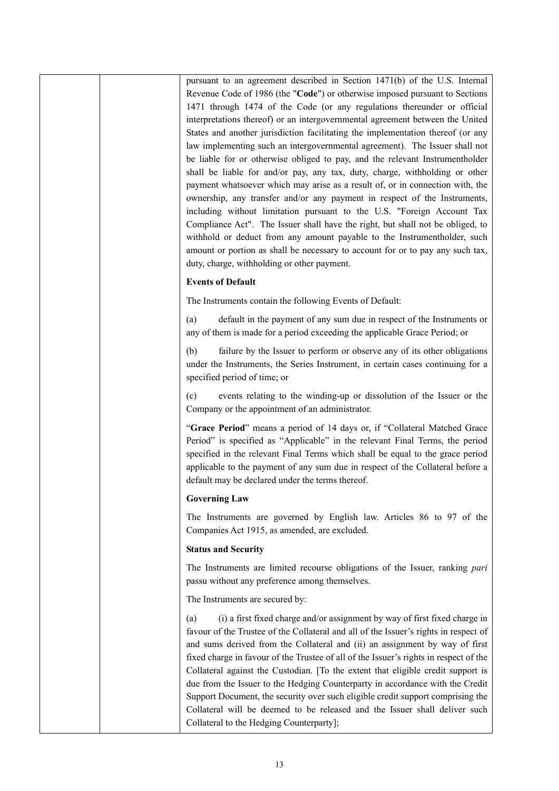pursuant to an agreement described in Section 1471(b) of the U.S. Internal Revenue Code of 1986 (the "**Code**") or otherwise imposed pursuant to Sections 1471 through 1474 of the Code (or any regulations thereunder or official interpretations thereof) or an intergovernmental agreement between the United States and another jurisdiction facilitating the implementation thereof (or any law implementing such an intergovernmental agreement). The Issuer shall not be liable for or otherwise obliged to pay, and the relevant Instrumentholder shall be liable for and/or pay, any tax, duty, charge, withholding or other payment whatsoever which may arise as a result of, or in connection with, the ownership, any transfer and/or any payment in respect of the Instruments, including without limitation pursuant to the U.S. "Foreign Account Tax Compliance Act". The Issuer shall have the right, but shall not be obliged, to withhold or deduct from any amount payable to the Instrumentholder, such amount or portion as shall be necessary to account for or to pay any such tax, duty, charge, withholding or other payment.

#### **Events of Default**

The Instruments contain the following Events of Default:

(a) default in the payment of any sum due in respect of the Instruments or any of them is made for a period exceeding the applicable Grace Period; or

(b) failure by the Issuer to perform or observe any of its other obligations under the Instruments, the Series Instrument, in certain cases continuing for a specified period of time; or

(c) events relating to the winding-up or dissolution of the Issuer or the Company or the appointment of an administrator.

"**Grace Period**" means a period of 14 days or, if "Collateral Matched Grace Period" is specified as "Applicable" in the relevant Final Terms, the period specified in the relevant Final Terms which shall be equal to the grace period applicable to the payment of any sum due in respect of the Collateral before a default may be declared under the terms thereof.

#### **Governing Law**

The Instruments are governed by English law. Articles 86 to 97 of the Companies Act 1915, as amended, are excluded.

### **Status and Security**

The Instruments are limited recourse obligations of the Issuer, ranking *pari*  passu without any preference among themselves.

The Instruments are secured by:

(a) (i) a first fixed charge and/or assignment by way of first fixed charge in favour of the Trustee of the Collateral and all of the Issuer's rights in respect of and sums derived from the Collateral and (ii) an assignment by way of first fixed charge in favour of the Trustee of all of the Issuer's rights in respect of the Collateral against the Custodian. [To the extent that eligible credit support is due from the Issuer to the Hedging Counterparty in accordance with the Credit Support Document, the security over such eligible credit support comprising the Collateral will be deemed to be released and the Issuer shall deliver such Collateral to the Hedging Counterparty];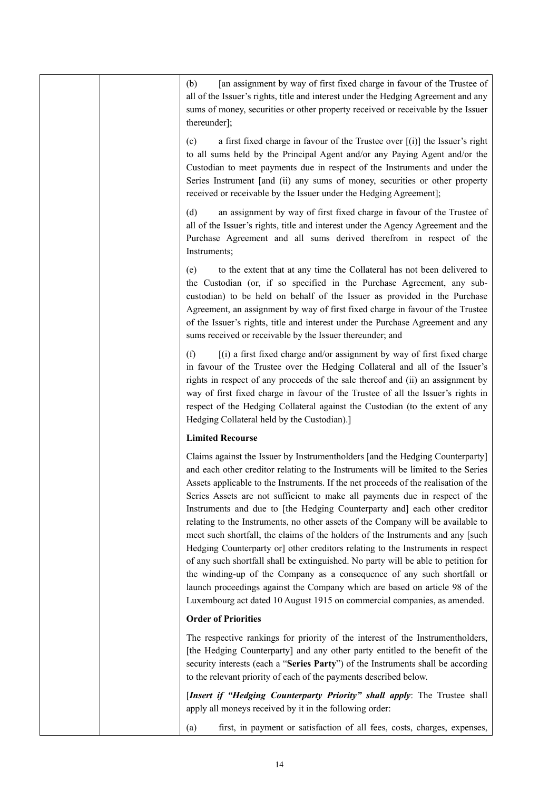|  | [an assignment by way of first fixed charge in favour of the Trustee of<br>(b)<br>all of the Issuer's rights, title and interest under the Hedging Agreement and any<br>sums of money, securities or other property received or receivable by the Issuer<br>thereunder];                                                                                                                                                                                                                                                                                                                                                                                                                                                                                                                                                                                                                                                                                                                                    |
|--|-------------------------------------------------------------------------------------------------------------------------------------------------------------------------------------------------------------------------------------------------------------------------------------------------------------------------------------------------------------------------------------------------------------------------------------------------------------------------------------------------------------------------------------------------------------------------------------------------------------------------------------------------------------------------------------------------------------------------------------------------------------------------------------------------------------------------------------------------------------------------------------------------------------------------------------------------------------------------------------------------------------|
|  | a first fixed charge in favour of the Trustee over $[(i)]$ the Issuer's right<br>(c)<br>to all sums held by the Principal Agent and/or any Paying Agent and/or the<br>Custodian to meet payments due in respect of the Instruments and under the<br>Series Instrument [and (ii) any sums of money, securities or other property<br>received or receivable by the Issuer under the Hedging Agreement];                                                                                                                                                                                                                                                                                                                                                                                                                                                                                                                                                                                                       |
|  | an assignment by way of first fixed charge in favour of the Trustee of<br>(d)<br>all of the Issuer's rights, title and interest under the Agency Agreement and the<br>Purchase Agreement and all sums derived therefrom in respect of the<br>Instruments;                                                                                                                                                                                                                                                                                                                                                                                                                                                                                                                                                                                                                                                                                                                                                   |
|  | to the extent that at any time the Collateral has not been delivered to<br>(e)<br>the Custodian (or, if so specified in the Purchase Agreement, any sub-<br>custodian) to be held on behalf of the Issuer as provided in the Purchase<br>Agreement, an assignment by way of first fixed charge in favour of the Trustee<br>of the Issuer's rights, title and interest under the Purchase Agreement and any<br>sums received or receivable by the Issuer thereunder; and                                                                                                                                                                                                                                                                                                                                                                                                                                                                                                                                     |
|  | [(i) a first fixed charge and/or assignment by way of first fixed charge<br>(f)<br>in favour of the Trustee over the Hedging Collateral and all of the Issuer's<br>rights in respect of any proceeds of the sale thereof and (ii) an assignment by<br>way of first fixed charge in favour of the Trustee of all the Issuer's rights in<br>respect of the Hedging Collateral against the Custodian (to the extent of any<br>Hedging Collateral held by the Custodian).]                                                                                                                                                                                                                                                                                                                                                                                                                                                                                                                                      |
|  | <b>Limited Recourse</b>                                                                                                                                                                                                                                                                                                                                                                                                                                                                                                                                                                                                                                                                                                                                                                                                                                                                                                                                                                                     |
|  | Claims against the Issuer by Instrumentholders [and the Hedging Counterparty]<br>and each other creditor relating to the Instruments will be limited to the Series<br>Assets applicable to the Instruments. If the net proceeds of the realisation of the<br>Series Assets are not sufficient to make all payments due in respect of the<br>Instruments and due to [the Hedging Counterparty and] each other creditor<br>relating to the Instruments, no other assets of the Company will be available to<br>meet such shortfall, the claims of the holders of the Instruments and any [such<br>Hedging Counterparty or] other creditors relating to the Instruments in respect<br>of any such shortfall shall be extinguished. No party will be able to petition for<br>the winding-up of the Company as a consequence of any such shortfall or<br>launch proceedings against the Company which are based on article 98 of the<br>Luxembourg act dated 10 August 1915 on commercial companies, as amended. |
|  | <b>Order of Priorities</b>                                                                                                                                                                                                                                                                                                                                                                                                                                                                                                                                                                                                                                                                                                                                                                                                                                                                                                                                                                                  |
|  | The respective rankings for priority of the interest of the Instrumentholders,<br>[the Hedging Counterparty] and any other party entitled to the benefit of the<br>security interests (each a "Series Party") of the Instruments shall be according<br>to the relevant priority of each of the payments described below.                                                                                                                                                                                                                                                                                                                                                                                                                                                                                                                                                                                                                                                                                    |
|  | [Insert if "Hedging Counterparty Priority" shall apply: The Trustee shall                                                                                                                                                                                                                                                                                                                                                                                                                                                                                                                                                                                                                                                                                                                                                                                                                                                                                                                                   |
|  | apply all moneys received by it in the following order:                                                                                                                                                                                                                                                                                                                                                                                                                                                                                                                                                                                                                                                                                                                                                                                                                                                                                                                                                     |
|  | first, in payment or satisfaction of all fees, costs, charges, expenses,<br>(a)                                                                                                                                                                                                                                                                                                                                                                                                                                                                                                                                                                                                                                                                                                                                                                                                                                                                                                                             |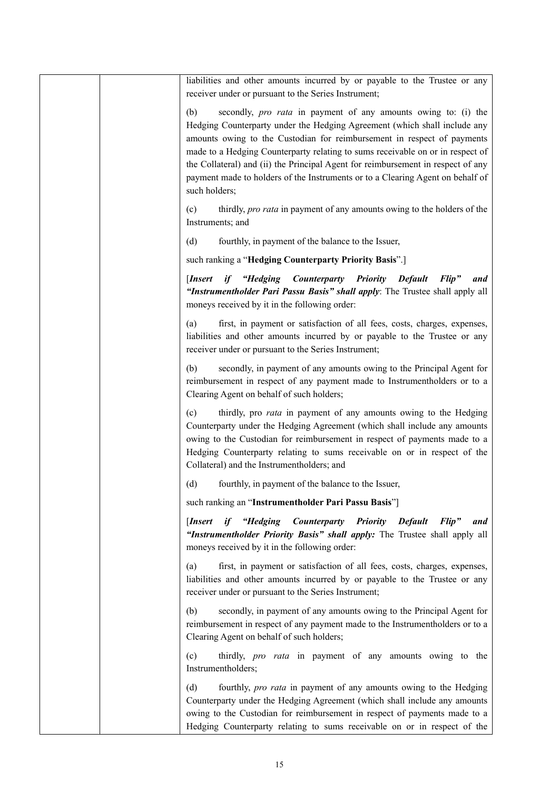| liabilities and other amounts incurred by or payable to the Trustee or any<br>receiver under or pursuant to the Series Instrument;                                                                                                                                                                                                                                                                                                                                                                            |
|---------------------------------------------------------------------------------------------------------------------------------------------------------------------------------------------------------------------------------------------------------------------------------------------------------------------------------------------------------------------------------------------------------------------------------------------------------------------------------------------------------------|
| secondly, <i>pro rata</i> in payment of any amounts owing to: (i) the<br>(b)<br>Hedging Counterparty under the Hedging Agreement (which shall include any<br>amounts owing to the Custodian for reimbursement in respect of payments<br>made to a Hedging Counterparty relating to sums receivable on or in respect of<br>the Collateral) and (ii) the Principal Agent for reimbursement in respect of any<br>payment made to holders of the Instruments or to a Clearing Agent on behalf of<br>such holders; |
| (c)<br>thirdly, pro rata in payment of any amounts owing to the holders of the<br>Instruments; and                                                                                                                                                                                                                                                                                                                                                                                                            |
| (d)<br>fourthly, in payment of the balance to the Issuer,                                                                                                                                                                                                                                                                                                                                                                                                                                                     |
| such ranking a "Hedging Counterparty Priority Basis".]                                                                                                                                                                                                                                                                                                                                                                                                                                                        |
| if "Hedging Counterparty Priority Default<br>[Insert]<br>$Flip$ "<br>and<br>"Instrumentholder Pari Passu Basis" shall apply: The Trustee shall apply all<br>moneys received by it in the following order:                                                                                                                                                                                                                                                                                                     |
| first, in payment or satisfaction of all fees, costs, charges, expenses,<br>(a)<br>liabilities and other amounts incurred by or payable to the Trustee or any<br>receiver under or pursuant to the Series Instrument;                                                                                                                                                                                                                                                                                         |
| secondly, in payment of any amounts owing to the Principal Agent for<br>(b)<br>reimbursement in respect of any payment made to Instrumentholders or to a<br>Clearing Agent on behalf of such holders;                                                                                                                                                                                                                                                                                                         |
| thirdly, pro <i>rata</i> in payment of any amounts owing to the Hedging<br>(c)<br>Counterparty under the Hedging Agreement (which shall include any amounts<br>owing to the Custodian for reimbursement in respect of payments made to a<br>Hedging Counterparty relating to sums receivable on or in respect of the<br>Collateral) and the Instrumentholders; and                                                                                                                                            |
| (d)<br>fourthly, in payment of the balance to the Issuer,                                                                                                                                                                                                                                                                                                                                                                                                                                                     |
| such ranking an "Instrumentholder Pari Passu Basis"]                                                                                                                                                                                                                                                                                                                                                                                                                                                          |
| if "Hedging Counterparty Priority Default<br>[Insert]<br>Flip"<br>and<br>"Instrumentholder Priority Basis" shall apply: The Trustee shall apply all<br>moneys received by it in the following order:                                                                                                                                                                                                                                                                                                          |
| first, in payment or satisfaction of all fees, costs, charges, expenses,<br>(a)<br>liabilities and other amounts incurred by or payable to the Trustee or any<br>receiver under or pursuant to the Series Instrument;                                                                                                                                                                                                                                                                                         |
| secondly, in payment of any amounts owing to the Principal Agent for<br>(b)<br>reimbursement in respect of any payment made to the Instrumentholders or to a<br>Clearing Agent on behalf of such holders;                                                                                                                                                                                                                                                                                                     |
| thirdly, <i>pro rata</i> in payment of any amounts owing to the<br>(c)<br>Instrumentholders;                                                                                                                                                                                                                                                                                                                                                                                                                  |
| fourthly, pro rata in payment of any amounts owing to the Hedging<br>(d)<br>Counterparty under the Hedging Agreement (which shall include any amounts<br>owing to the Custodian for reimbursement in respect of payments made to a<br>Hedging Counterparty relating to sums receivable on or in respect of the                                                                                                                                                                                                |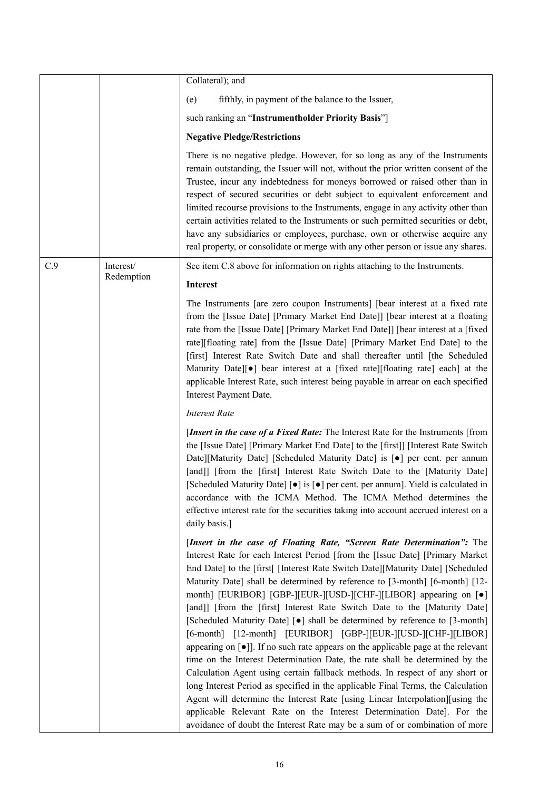|     |            | Collateral); and                                                                                                                                                                                                                                                                                                                                                                                                                                                                                                                                                                                                                                                                                                                                                                                                                                                                                                                                                                                                                                                                                                                                                                                                                                       |
|-----|------------|--------------------------------------------------------------------------------------------------------------------------------------------------------------------------------------------------------------------------------------------------------------------------------------------------------------------------------------------------------------------------------------------------------------------------------------------------------------------------------------------------------------------------------------------------------------------------------------------------------------------------------------------------------------------------------------------------------------------------------------------------------------------------------------------------------------------------------------------------------------------------------------------------------------------------------------------------------------------------------------------------------------------------------------------------------------------------------------------------------------------------------------------------------------------------------------------------------------------------------------------------------|
|     |            | fifthly, in payment of the balance to the Issuer,<br>(e)                                                                                                                                                                                                                                                                                                                                                                                                                                                                                                                                                                                                                                                                                                                                                                                                                                                                                                                                                                                                                                                                                                                                                                                               |
|     |            | such ranking an "Instrumentholder Priority Basis"]                                                                                                                                                                                                                                                                                                                                                                                                                                                                                                                                                                                                                                                                                                                                                                                                                                                                                                                                                                                                                                                                                                                                                                                                     |
|     |            | <b>Negative Pledge/Restrictions</b>                                                                                                                                                                                                                                                                                                                                                                                                                                                                                                                                                                                                                                                                                                                                                                                                                                                                                                                                                                                                                                                                                                                                                                                                                    |
|     |            | There is no negative pledge. However, for so long as any of the Instruments<br>remain outstanding, the Issuer will not, without the prior written consent of the<br>Trustee, incur any indebtedness for moneys borrowed or raised other than in<br>respect of secured securities or debt subject to equivalent enforcement and<br>limited recourse provisions to the Instruments, engage in any activity other than<br>certain activities related to the Instruments or such permitted securities or debt,<br>have any subsidiaries or employees, purchase, own or otherwise acquire any<br>real property, or consolidate or merge with any other person or issue any shares.                                                                                                                                                                                                                                                                                                                                                                                                                                                                                                                                                                          |
| C.9 | Interest/  | See item C.8 above for information on rights attaching to the Instruments.                                                                                                                                                                                                                                                                                                                                                                                                                                                                                                                                                                                                                                                                                                                                                                                                                                                                                                                                                                                                                                                                                                                                                                             |
|     | Redemption | <b>Interest</b>                                                                                                                                                                                                                                                                                                                                                                                                                                                                                                                                                                                                                                                                                                                                                                                                                                                                                                                                                                                                                                                                                                                                                                                                                                        |
|     |            | The Instruments [are zero coupon Instruments] [bear interest at a fixed rate<br>from the [Issue Date] [Primary Market End Date]] [bear interest at a floating<br>rate from the [Issue Date] [Primary Market End Date]] [bear interest at a [fixed<br>rate][floating rate] from the [Issue Date] [Primary Market End Date] to the<br>[first] Interest Rate Switch Date and shall thereafter until [the Scheduled<br>Maturity Date][ $\bullet$ ] bear interest at a [fixed rate][floating rate] each] at the<br>applicable Interest Rate, such interest being payable in arrear on each specified<br>Interest Payment Date.                                                                                                                                                                                                                                                                                                                                                                                                                                                                                                                                                                                                                              |
|     |            | <b>Interest Rate</b>                                                                                                                                                                                                                                                                                                                                                                                                                                                                                                                                                                                                                                                                                                                                                                                                                                                                                                                                                                                                                                                                                                                                                                                                                                   |
|     |            | [Insert in the case of a Fixed Rate: The Interest Rate for the Instruments [from<br>the [Issue Date] [Primary Market End Date] to the [first]] [Interest Rate Switch<br>Date][Maturity Date] [Scheduled Maturity Date] is [ $\bullet$ ] per cent. per annum<br>[and]] [from the [first] Interest Rate Switch Date to the [Maturity Date]<br>[Scheduled Maturity Date] [ $\bullet$ ] is [ $\bullet$ ] per cent. per annum]. Yield is calculated in<br>accordance with the ICMA Method. The ICMA Method determines the<br>effective interest rate for the securities taking into account accrued interest on a<br>daily basis.]                                                                                                                                                                                                                                                                                                                                                                                                                                                                                                                                                                                                                          |
|     |            | [Insert in the case of Floating Rate, "Screen Rate Determination": The<br>Interest Rate for each Interest Period [from the [Issue Date] [Primary Market]<br>End Date] to the [first[ [Interest Rate Switch Date][Maturity Date] [Scheduled<br>Maturity Date] shall be determined by reference to [3-month] [6-month] [12-<br>month] [EURIBOR] [GBP-][EUR-][USD-][CHF-][LIBOR] appearing on [ $\bullet$ ]<br>[and]] [from the [first] Interest Rate Switch Date to the [Maturity Date]<br>[Scheduled Maturity Date] [ $\bullet$ ] shall be determined by reference to [3-month]<br>[6-month] [12-month] [EURIBOR] [GBP-][EUR-][USD-][CHF-][LIBOR]<br>appearing on $\lceil \bullet \rceil$ . If no such rate appears on the applicable page at the relevant<br>time on the Interest Determination Date, the rate shall be determined by the<br>Calculation Agent using certain fallback methods. In respect of any short or<br>long Interest Period as specified in the applicable Final Terms, the Calculation<br>Agent will determine the Interest Rate [using Linear Interpolation][using the<br>applicable Relevant Rate on the Interest Determination Date]. For the<br>avoidance of doubt the Interest Rate may be a sum of or combination of more |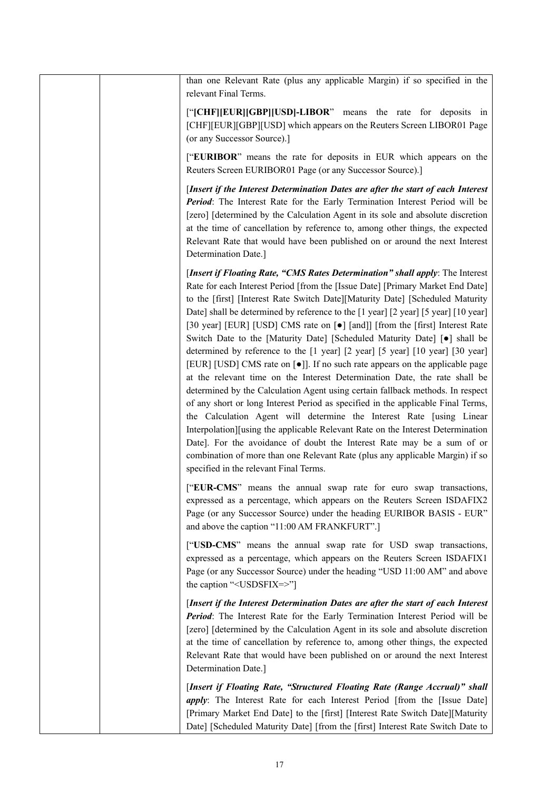| than one Relevant Rate (plus any applicable Margin) if so specified in the<br>relevant Final Terms.                                                                                                                                                                                                                                                                                                                                                                                                                                                                                                                                                                                                                                                                                                                                                                                                                                                                                                                                                                                                                                                                                                                                                                                                          |
|--------------------------------------------------------------------------------------------------------------------------------------------------------------------------------------------------------------------------------------------------------------------------------------------------------------------------------------------------------------------------------------------------------------------------------------------------------------------------------------------------------------------------------------------------------------------------------------------------------------------------------------------------------------------------------------------------------------------------------------------------------------------------------------------------------------------------------------------------------------------------------------------------------------------------------------------------------------------------------------------------------------------------------------------------------------------------------------------------------------------------------------------------------------------------------------------------------------------------------------------------------------------------------------------------------------|
| ["[CHF][EUR][GBP][USD]-LIBOR" means the rate for deposits in<br>[CHF][EUR][GBP][USD] which appears on the Reuters Screen LIBOR01 Page<br>(or any Successor Source).]                                                                                                                                                                                                                                                                                                                                                                                                                                                                                                                                                                                                                                                                                                                                                                                                                                                                                                                                                                                                                                                                                                                                         |
| ["EURIBOR" means the rate for deposits in EUR which appears on the<br>Reuters Screen EURIBOR01 Page (or any Successor Source).]                                                                                                                                                                                                                                                                                                                                                                                                                                                                                                                                                                                                                                                                                                                                                                                                                                                                                                                                                                                                                                                                                                                                                                              |
| [Insert if the Interest Determination Dates are after the start of each Interest<br>Period: The Interest Rate for the Early Termination Interest Period will be<br>[zero] [determined by the Calculation Agent in its sole and absolute discretion<br>at the time of cancellation by reference to, among other things, the expected<br>Relevant Rate that would have been published on or around the next Interest<br>Determination Date.]                                                                                                                                                                                                                                                                                                                                                                                                                                                                                                                                                                                                                                                                                                                                                                                                                                                                   |
| [Insert if Floating Rate, "CMS Rates Determination" shall apply: The Interest<br>Rate for each Interest Period [from the [Issue Date] [Primary Market End Date]<br>to the [first] [Interest Rate Switch Date][Maturity Date] [Scheduled Maturity<br>Date] shall be determined by reference to the [1 year] [2 year] [5 year] [10 year]<br>[30 year] [EUR] [USD] CMS rate on [ $\bullet$ ] [and]] [from the [first] Interest Rate<br>Switch Date to the [Maturity Date] [Scheduled Maturity Date] [.] shall be<br>determined by reference to the [1 year] [2 year] [5 year] [10 year] [30 year]<br>[EUR] [USD] CMS rate on [ $\bullet$ ]]. If no such rate appears on the applicable page<br>at the relevant time on the Interest Determination Date, the rate shall be<br>determined by the Calculation Agent using certain fallback methods. In respect<br>of any short or long Interest Period as specified in the applicable Final Terms,<br>the Calculation Agent will determine the Interest Rate [using Linear<br>Interpolation][using the applicable Relevant Rate on the Interest Determination<br>Date]. For the avoidance of doubt the Interest Rate may be a sum of or<br>combination of more than one Relevant Rate (plus any applicable Margin) if so<br>specified in the relevant Final Terms. |
| ["EUR-CMS" means the annual swap rate for euro swap transactions,<br>expressed as a percentage, which appears on the Reuters Screen ISDAFIX2<br>Page (or any Successor Source) under the heading EURIBOR BASIS - EUR"<br>and above the caption "11:00 AM FRANKFURT".]                                                                                                                                                                                                                                                                                                                                                                                                                                                                                                                                                                                                                                                                                                                                                                                                                                                                                                                                                                                                                                        |
| ["USD-CMS" means the annual swap rate for USD swap transactions,<br>expressed as a percentage, which appears on the Reuters Screen ISDAFIX1<br>Page (or any Successor Source) under the heading "USD 11:00 AM" and above<br>the caption " <usdsfix=>"]</usdsfix=>                                                                                                                                                                                                                                                                                                                                                                                                                                                                                                                                                                                                                                                                                                                                                                                                                                                                                                                                                                                                                                            |
| [Insert if the Interest Determination Dates are after the start of each Interest<br>Period: The Interest Rate for the Early Termination Interest Period will be<br>[zero] [determined by the Calculation Agent in its sole and absolute discretion<br>at the time of cancellation by reference to, among other things, the expected<br>Relevant Rate that would have been published on or around the next Interest<br>Determination Date.]                                                                                                                                                                                                                                                                                                                                                                                                                                                                                                                                                                                                                                                                                                                                                                                                                                                                   |
| [Insert if Floating Rate, "Structured Floating Rate (Range Accrual)" shall<br><i>apply</i> : The Interest Rate for each Interest Period [from the [Issue Date]<br>[Primary Market End Date] to the [first] [Interest Rate Switch Date][Maturity<br>Date] [Scheduled Maturity Date] [from the [first] Interest Rate Switch Date to                                                                                                                                                                                                                                                                                                                                                                                                                                                                                                                                                                                                                                                                                                                                                                                                                                                                                                                                                                            |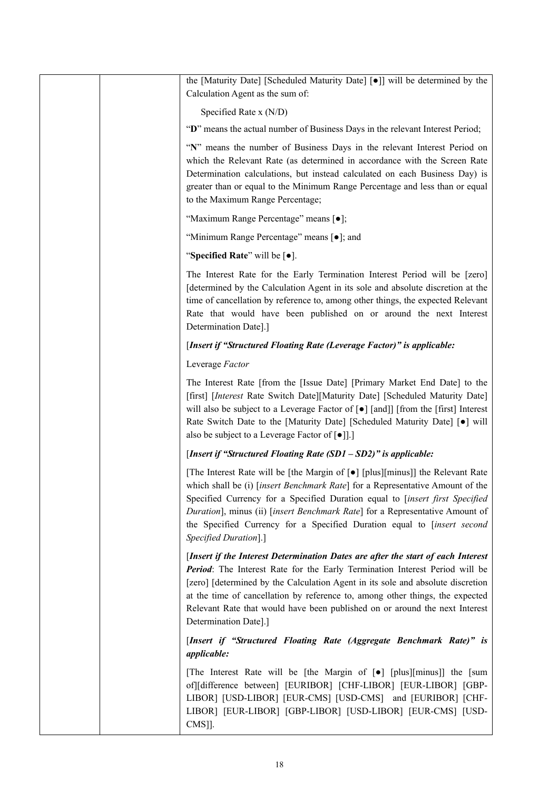| the [Maturity Date] [Scheduled Maturity Date] [.] will be determined by the<br>Calculation Agent as the sum of:                                                                                                                                                                                                                                                                                                                               |
|-----------------------------------------------------------------------------------------------------------------------------------------------------------------------------------------------------------------------------------------------------------------------------------------------------------------------------------------------------------------------------------------------------------------------------------------------|
| Specified Rate x (N/D)                                                                                                                                                                                                                                                                                                                                                                                                                        |
| "D" means the actual number of Business Days in the relevant Interest Period;                                                                                                                                                                                                                                                                                                                                                                 |
| "N" means the number of Business Days in the relevant Interest Period on<br>which the Relevant Rate (as determined in accordance with the Screen Rate<br>Determination calculations, but instead calculated on each Business Day) is<br>greater than or equal to the Minimum Range Percentage and less than or equal<br>to the Maximum Range Percentage;                                                                                      |
| "Maximum Range Percentage" means [ $\bullet$ ];                                                                                                                                                                                                                                                                                                                                                                                               |
| "Minimum Range Percentage" means [ $\bullet$ ]; and                                                                                                                                                                                                                                                                                                                                                                                           |
| "Specified Rate" will be [ $\bullet$ ].                                                                                                                                                                                                                                                                                                                                                                                                       |
| The Interest Rate for the Early Termination Interest Period will be [zero]<br>[determined by the Calculation Agent in its sole and absolute discretion at the<br>time of cancellation by reference to, among other things, the expected Relevant<br>Rate that would have been published on or around the next Interest<br>Determination Date].]                                                                                               |
| [Insert if "Structured Floating Rate (Leverage Factor)" is applicable:                                                                                                                                                                                                                                                                                                                                                                        |
| Leverage Factor                                                                                                                                                                                                                                                                                                                                                                                                                               |
| The Interest Rate [from the [Issue Date] [Primary Market End Date] to the<br>[first] [Interest Rate Switch Date][Maturity Date] [Scheduled Maturity Date]<br>will also be subject to a Leverage Factor of [ $\bullet$ ] [and]] [from the [first] Interest<br>Rate Switch Date to the [Maturity Date] [Scheduled Maturity Date] [ $\bullet$ ] will<br>also be subject to a Leverage Factor of [ $\bullet$ ]].]                                 |
| [Insert if "Structured Floating Rate (SD1 - SD2)" is applicable:                                                                                                                                                                                                                                                                                                                                                                              |
| [The Interest Rate will be [the Margin of [ $\bullet$ ] [plus][minus]] the Relevant Rate<br>which shall be (i) [insert Benchmark Rate] for a Representative Amount of the<br>Specified Currency for a Specified Duration equal to [insert first Specified<br>Duration], minus (ii) [insert Benchmark Rate] for a Representative Amount of<br>the Specified Currency for a Specified Duration equal to [insert second<br>Specified Duration].] |
| [Insert if the Interest Determination Dates are after the start of each Interest<br>Period: The Interest Rate for the Early Termination Interest Period will be<br>[zero] [determined by the Calculation Agent in its sole and absolute discretion<br>at the time of cancellation by reference to, among other things, the expected<br>Relevant Rate that would have been published on or around the next Interest<br>Determination Date].]   |
| [Insert if "Structured Floating Rate (Aggregate Benchmark Rate)" is<br>applicable:                                                                                                                                                                                                                                                                                                                                                            |
| [The Interest Rate will be [the Margin of [ $\bullet$ ] [plus][minus]] the [sum<br>of][difference between] [EURIBOR] [CHF-LIBOR] [EUR-LIBOR] [GBP-<br>LIBOR] [USD-LIBOR] [EUR-CMS] [USD-CMS] and [EURIBOR] [CHF-<br>LIBOR] [EUR-LIBOR] [GBP-LIBOR] [USD-LIBOR] [EUR-CMS] [USD-<br>CMS]].                                                                                                                                                      |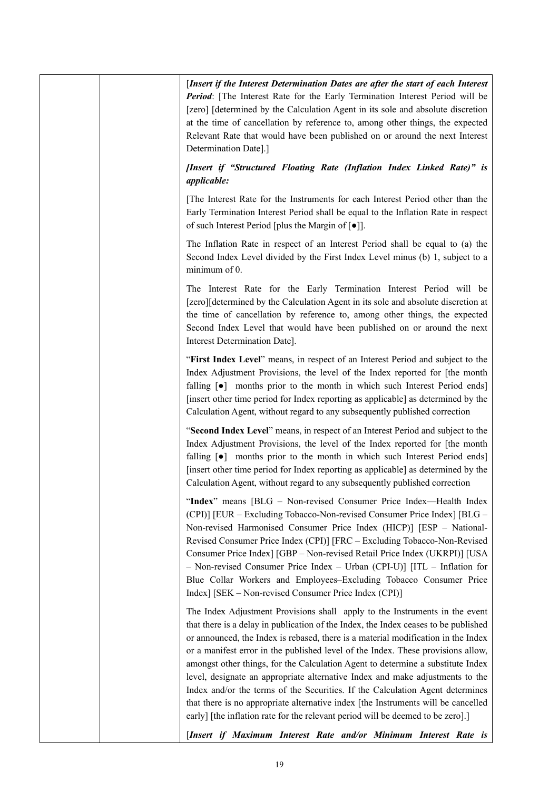| [Insert if the Interest Determination Dates are after the start of each Interest<br>Period: [The Interest Rate for the Early Termination Interest Period will be<br>[zero] [determined by the Calculation Agent in its sole and absolute discretion<br>at the time of cancellation by reference to, among other things, the expected<br>Relevant Rate that would have been published on or around the next Interest<br>Determination Date].]                                                                                                                                                                                                                                                                                                                             |
|--------------------------------------------------------------------------------------------------------------------------------------------------------------------------------------------------------------------------------------------------------------------------------------------------------------------------------------------------------------------------------------------------------------------------------------------------------------------------------------------------------------------------------------------------------------------------------------------------------------------------------------------------------------------------------------------------------------------------------------------------------------------------|
| [Insert if "Structured Floating Rate (Inflation Index Linked Rate)" is<br><i>applicable:</i>                                                                                                                                                                                                                                                                                                                                                                                                                                                                                                                                                                                                                                                                             |
| The Interest Rate for the Instruments for each Interest Period other than the<br>Early Termination Interest Period shall be equal to the Inflation Rate in respect<br>of such Interest Period [plus the Margin of $[•]$ ].                                                                                                                                                                                                                                                                                                                                                                                                                                                                                                                                               |
| The Inflation Rate in respect of an Interest Period shall be equal to (a) the<br>Second Index Level divided by the First Index Level minus (b) 1, subject to a<br>minimum of 0.                                                                                                                                                                                                                                                                                                                                                                                                                                                                                                                                                                                          |
| The Interest Rate for the Early Termination Interest Period will be<br>[zero][determined by the Calculation Agent in its sole and absolute discretion at<br>the time of cancellation by reference to, among other things, the expected<br>Second Index Level that would have been published on or around the next<br>Interest Determination Date].                                                                                                                                                                                                                                                                                                                                                                                                                       |
| "First Index Level" means, in respect of an Interest Period and subject to the<br>Index Adjustment Provisions, the level of the Index reported for [the month<br>falling [ $\bullet$ ] months prior to the month in which such Interest Period ends]<br>[insert other time period for Index reporting as applicable] as determined by the<br>Calculation Agent, without regard to any subsequently published correction                                                                                                                                                                                                                                                                                                                                                  |
| "Second Index Level" means, in respect of an Interest Period and subject to the<br>Index Adjustment Provisions, the level of the Index reported for [the month<br>falling [ $\bullet$ ] months prior to the month in which such Interest Period ends]<br>[insert other time period for Index reporting as applicable] as determined by the<br>Calculation Agent, without regard to any subsequently published correction                                                                                                                                                                                                                                                                                                                                                 |
| "Index" means [BLG – Non-revised Consumer Price Index—Health Index<br>(CPI)] [EUR – Excluding Tobacco-Non-revised Consumer Price Index] [BLG –<br>Non-revised Harmonised Consumer Price Index (HICP)] [ESP - National-<br>Revised Consumer Price Index (CPI)] [FRC - Excluding Tobacco-Non-Revised<br>Consumer Price Index] [GBP - Non-revised Retail Price Index (UKRPI)] [USA<br>- Non-revised Consumer Price Index - Urban (CPI-U)] [ITL - Inflation for<br>Blue Collar Workers and Employees-Excluding Tobacco Consumer Price<br>Index] [SEK – Non-revised Consumer Price Index (CPI)]                                                                                                                                                                               |
| The Index Adjustment Provisions shall apply to the Instruments in the event<br>that there is a delay in publication of the Index, the Index ceases to be published<br>or announced, the Index is rebased, there is a material modification in the Index<br>or a manifest error in the published level of the Index. These provisions allow,<br>amongst other things, for the Calculation Agent to determine a substitute Index<br>level, designate an appropriate alternative Index and make adjustments to the<br>Index and/or the terms of the Securities. If the Calculation Agent determines<br>that there is no appropriate alternative index [the Instruments will be cancelled<br>early] [the inflation rate for the relevant period will be deemed to be zero].] |
| [Insert if Maximum Interest Rate and/or Minimum Interest Rate is                                                                                                                                                                                                                                                                                                                                                                                                                                                                                                                                                                                                                                                                                                         |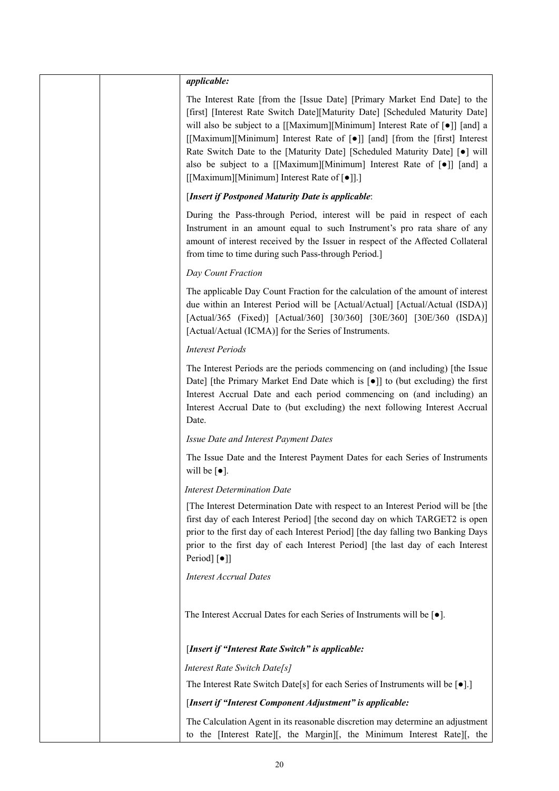|  | <i>applicable:</i>                                                                                                                                                                                                                                                                                                                                                                                                                                                                                                                              |
|--|-------------------------------------------------------------------------------------------------------------------------------------------------------------------------------------------------------------------------------------------------------------------------------------------------------------------------------------------------------------------------------------------------------------------------------------------------------------------------------------------------------------------------------------------------|
|  | The Interest Rate [from the [Issue Date] [Primary Market End Date] to the<br>[first] [Interest Rate Switch Date][Maturity Date] [Scheduled Maturity Date]<br>will also be subject to a [[Maximum][Minimum] Interest Rate of [.] [and] a<br>[[Maximum][Minimum] Interest Rate of [•]] [and] [from the [first] Interest<br>Rate Switch Date to the [Maturity Date] [Scheduled Maturity Date] [ $\bullet$ ] will<br>also be subject to a [[Maximum][Minimum] Interest Rate of [.] [and] a<br>[[Maximum][Minimum] Interest Rate of [ $\bullet$ ]].] |
|  | [Insert if Postponed Maturity Date is applicable:                                                                                                                                                                                                                                                                                                                                                                                                                                                                                               |
|  | During the Pass-through Period, interest will be paid in respect of each<br>Instrument in an amount equal to such Instrument's pro rata share of any<br>amount of interest received by the Issuer in respect of the Affected Collateral<br>from time to time during such Pass-through Period.]                                                                                                                                                                                                                                                  |
|  | Day Count Fraction                                                                                                                                                                                                                                                                                                                                                                                                                                                                                                                              |
|  | The applicable Day Count Fraction for the calculation of the amount of interest<br>due within an Interest Period will be [Actual/Actual] [Actual/Actual (ISDA)]<br>[Actual/365 (Fixed)] [Actual/360] [30/360] [30E/360] [30E/360 (ISDA)]<br>[Actual/Actual (ICMA)] for the Series of Instruments.                                                                                                                                                                                                                                               |
|  | <b>Interest Periods</b>                                                                                                                                                                                                                                                                                                                                                                                                                                                                                                                         |
|  | The Interest Periods are the periods commencing on (and including) [the Issue<br>Date] [the Primary Market End Date which is [ $\bullet$ ]] to (but excluding) the first<br>Interest Accrual Date and each period commencing on (and including) an<br>Interest Accrual Date to (but excluding) the next following Interest Accrual<br>Date.                                                                                                                                                                                                     |
|  | Issue Date and Interest Payment Dates                                                                                                                                                                                                                                                                                                                                                                                                                                                                                                           |
|  | The Issue Date and the Interest Payment Dates for each Series of Instruments<br>will be $\lceil \bullet \rceil$ .                                                                                                                                                                                                                                                                                                                                                                                                                               |
|  | <b>Interest Determination Date</b>                                                                                                                                                                                                                                                                                                                                                                                                                                                                                                              |
|  | The Interest Determination Date with respect to an Interest Period will be [the<br>first day of each Interest Period] [the second day on which TARGET2 is open<br>prior to the first day of each Interest Period] [the day falling two Banking Days<br>prior to the first day of each Interest Period] [the last day of each Interest<br>Period] [•]]                                                                                                                                                                                           |
|  | <b>Interest Accrual Dates</b>                                                                                                                                                                                                                                                                                                                                                                                                                                                                                                                   |
|  | The Interest Accrual Dates for each Series of Instruments will be $[\bullet]$ .                                                                                                                                                                                                                                                                                                                                                                                                                                                                 |
|  | [Insert if "Interest Rate Switch" is applicable:                                                                                                                                                                                                                                                                                                                                                                                                                                                                                                |
|  | Interest Rate Switch Date[s]                                                                                                                                                                                                                                                                                                                                                                                                                                                                                                                    |
|  | The Interest Rate Switch Date[s] for each Series of Instruments will be $[•]$ .]                                                                                                                                                                                                                                                                                                                                                                                                                                                                |
|  | [Insert if "Interest Component Adjustment" is applicable:                                                                                                                                                                                                                                                                                                                                                                                                                                                                                       |
|  | The Calculation Agent in its reasonable discretion may determine an adjustment<br>to the [Interest Rate][, the Margin][, the Minimum Interest Rate][, the                                                                                                                                                                                                                                                                                                                                                                                       |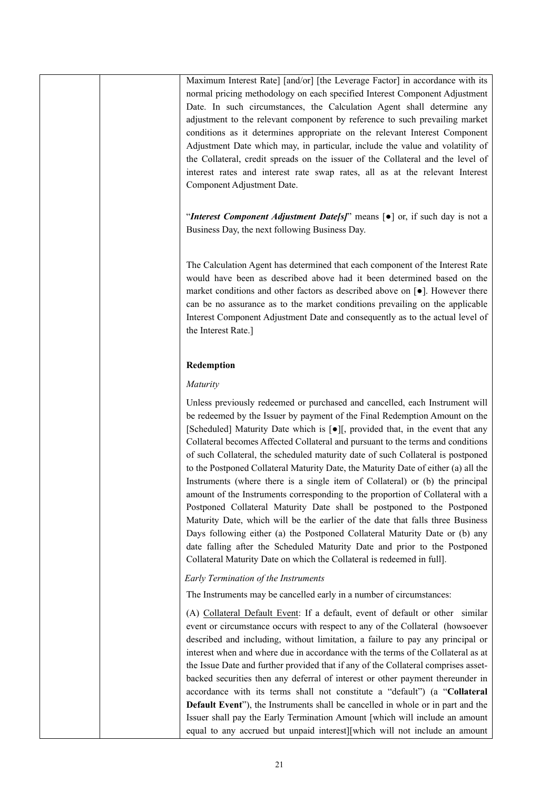Maximum Interest Rate] [and/or] [the Leverage Factor] in accordance with its normal pricing methodology on each specified Interest Component Adjustment Date. In such circumstances, the Calculation Agent shall determine any adjustment to the relevant component by reference to such prevailing market conditions as it determines appropriate on the relevant Interest Component Adjustment Date which may, in particular, include the value and volatility of the Collateral, credit spreads on the issuer of the Collateral and the level of interest rates and interest rate swap rates, all as at the relevant Interest Component Adjustment Date.

"*Interest Component Adjustment Date[s]*" means [●] or, if such day is not a Business Day, the next following Business Day.

The Calculation Agent has determined that each component of the Interest Rate would have been as described above had it been determined based on the market conditions and other factors as described above on [●]. However there can be no assurance as to the market conditions prevailing on the applicable Interest Component Adjustment Date and consequently as to the actual level of the Interest Rate.]

#### **Redemption**

#### *Maturity*

Unless previously redeemed or purchased and cancelled, each Instrument will be redeemed by the Issuer by payment of the Final Redemption Amount on the [Scheduled] Maturity Date which is [●][, provided that, in the event that any Collateral becomes Affected Collateral and pursuant to the terms and conditions of such Collateral, the scheduled maturity date of such Collateral is postponed to the Postponed Collateral Maturity Date, the Maturity Date of either (a) all the Instruments (where there is a single item of Collateral) or (b) the principal amount of the Instruments corresponding to the proportion of Collateral with a Postponed Collateral Maturity Date shall be postponed to the Postponed Maturity Date, which will be the earlier of the date that falls three Business Days following either (a) the Postponed Collateral Maturity Date or (b) any date falling after the Scheduled Maturity Date and prior to the Postponed Collateral Maturity Date on which the Collateral is redeemed in full].

*Early Termination of the Instruments*

The Instruments may be cancelled early in a number of circumstances:

(A) Collateral Default Event: If a default, event of default or other similar event or circumstance occurs with respect to any of the Collateral (howsoever described and including, without limitation, a failure to pay any principal or interest when and where due in accordance with the terms of the Collateral as at the Issue Date and further provided that if any of the Collateral comprises assetbacked securities then any deferral of interest or other payment thereunder in accordance with its terms shall not constitute a "default") (a "**Collateral Default Event**"), the Instruments shall be cancelled in whole or in part and the Issuer shall pay the Early Termination Amount [which will include an amount equal to any accrued but unpaid interest][which will not include an amount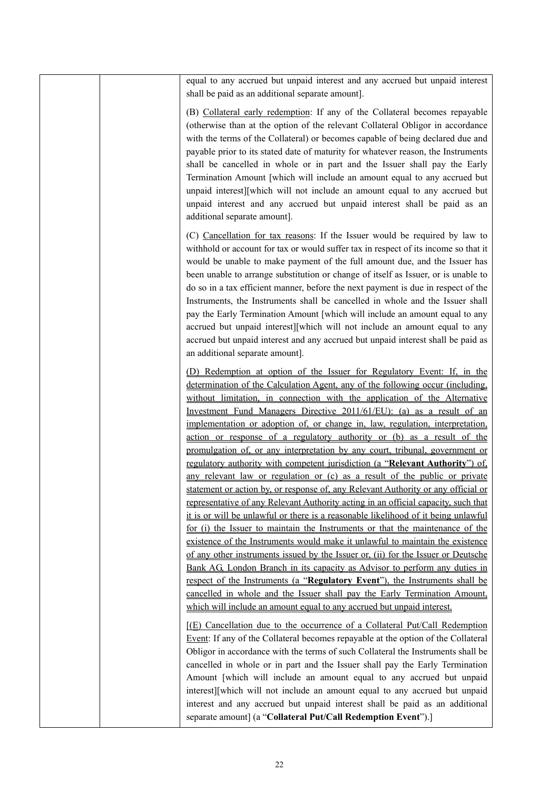|  | equal to any accrued but unpaid interest and any accrued but unpaid interest<br>shall be paid as an additional separate amount].                                                                                                                                                                                                                                                                                                                                                                                                                                                                                                                                                                                                                                                                                                                                                                                                                                                                                                                                                                                                                                                                                                                                                                                                                                                                                                                                                                                                                                                                                                                    |
|--|-----------------------------------------------------------------------------------------------------------------------------------------------------------------------------------------------------------------------------------------------------------------------------------------------------------------------------------------------------------------------------------------------------------------------------------------------------------------------------------------------------------------------------------------------------------------------------------------------------------------------------------------------------------------------------------------------------------------------------------------------------------------------------------------------------------------------------------------------------------------------------------------------------------------------------------------------------------------------------------------------------------------------------------------------------------------------------------------------------------------------------------------------------------------------------------------------------------------------------------------------------------------------------------------------------------------------------------------------------------------------------------------------------------------------------------------------------------------------------------------------------------------------------------------------------------------------------------------------------------------------------------------------------|
|  | (B) Collateral early redemption: If any of the Collateral becomes repayable<br>(otherwise than at the option of the relevant Collateral Obligor in accordance<br>with the terms of the Collateral) or becomes capable of being declared due and<br>payable prior to its stated date of maturity for whatever reason, the Instruments<br>shall be cancelled in whole or in part and the Issuer shall pay the Early<br>Termination Amount [which will include an amount equal to any accrued but<br>unpaid interest][which will not include an amount equal to any accrued but<br>unpaid interest and any accrued but unpaid interest shall be paid as an<br>additional separate amount].                                                                                                                                                                                                                                                                                                                                                                                                                                                                                                                                                                                                                                                                                                                                                                                                                                                                                                                                                             |
|  | (C) Cancellation for tax reasons: If the Issuer would be required by law to<br>withhold or account for tax or would suffer tax in respect of its income so that it<br>would be unable to make payment of the full amount due, and the Issuer has<br>been unable to arrange substitution or change of itself as Issuer, or is unable to<br>do so in a tax efficient manner, before the next payment is due in respect of the<br>Instruments, the Instruments shall be cancelled in whole and the Issuer shall<br>pay the Early Termination Amount [which will include an amount equal to any<br>accrued but unpaid interest][which will not include an amount equal to any<br>accrued but unpaid interest and any accrued but unpaid interest shall be paid as<br>an additional separate amount].                                                                                                                                                                                                                                                                                                                                                                                                                                                                                                                                                                                                                                                                                                                                                                                                                                                    |
|  | (D) Redemption at option of the Issuer for Regulatory Event: If, in the<br>determination of the Calculation Agent, any of the following occur (including,<br>without limitation, in connection with the application of the Alternative<br>Investment Fund Managers Directive 2011/61/EU): (a) as a result of an<br>implementation or adoption of, or change in, law, regulation, interpretation,<br>action or response of a regulatory authority or (b) as a result of the<br>promulgation of, or any interpretation by any court, tribunal, government or<br>regulatory authority with competent jurisdiction (a "Relevant Authority") of<br>any relevant law or regulation or (c) as a result of the public or private<br>statement or action by, or response of, any Relevant Authority or any official or<br>representative of any Relevant Authority acting in an official capacity, such that<br>it is or will be unlawful or there is a reasonable likelihood of it being unlawful<br>for (i) the Issuer to maintain the Instruments or that the maintenance of the<br>existence of the Instruments would make it unlawful to maintain the existence<br>of any other instruments issued by the Issuer or, (ii) for the Issuer or Deutsche<br>Bank AG, London Branch in its capacity as Advisor to perform any duties in<br>respect of the Instruments (a "Regulatory Event"), the Instruments shall be<br>cancelled in whole and the Issuer shall pay the Early Termination Amount,<br>which will include an amount equal to any accrued but unpaid interest.<br>[(E) Cancellation due to the occurrence of a Collateral Put/Call Redemption |
|  | Event: If any of the Collateral becomes repayable at the option of the Collateral<br>Obligor in accordance with the terms of such Collateral the Instruments shall be<br>cancelled in whole or in part and the Issuer shall pay the Early Termination<br>Amount [which will include an amount equal to any accrued but unpaid<br>interest][which will not include an amount equal to any accrued but unpaid<br>interest and any accrued but unpaid interest shall be paid as an additional<br>separate amount] (a "Collateral Put/Call Redemption Event").]                                                                                                                                                                                                                                                                                                                                                                                                                                                                                                                                                                                                                                                                                                                                                                                                                                                                                                                                                                                                                                                                                         |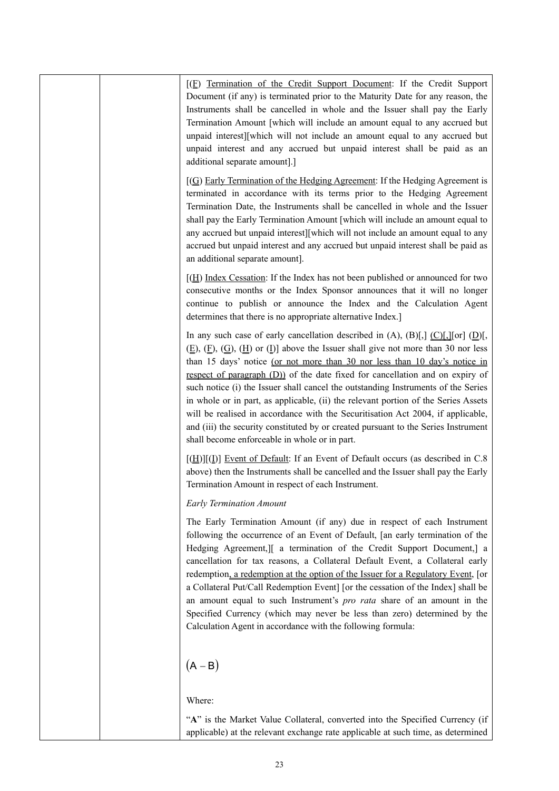| $[(E)$ Termination of the Credit Support Document: If the Credit Support<br>Document (if any) is terminated prior to the Maturity Date for any reason, the<br>Instruments shall be cancelled in whole and the Issuer shall pay the Early<br>Termination Amount [which will include an amount equal to any accrued but<br>unpaid interest][which will not include an amount equal to any accrued but<br>unpaid interest and any accrued but unpaid interest shall be paid as an<br>additional separate amount].]                                                                                                                                                                                                                                                  |
|------------------------------------------------------------------------------------------------------------------------------------------------------------------------------------------------------------------------------------------------------------------------------------------------------------------------------------------------------------------------------------------------------------------------------------------------------------------------------------------------------------------------------------------------------------------------------------------------------------------------------------------------------------------------------------------------------------------------------------------------------------------|
| $[(G)$ Early Termination of the Hedging Agreement: If the Hedging Agreement is<br>terminated in accordance with its terms prior to the Hedging Agreement<br>Termination Date, the Instruments shall be cancelled in whole and the Issuer<br>shall pay the Early Termination Amount [which will include an amount equal to<br>any accrued but unpaid interest][which will not include an amount equal to any<br>accrued but unpaid interest and any accrued but unpaid interest shall be paid as<br>an additional separate amount].                                                                                                                                                                                                                               |
| $[\underline{H}]$ Index Cessation: If the Index has not been published or announced for two<br>consecutive months or the Index Sponsor announces that it will no longer<br>continue to publish or announce the Index and the Calculation Agent<br>determines that there is no appropriate alternative Index.]                                                                                                                                                                                                                                                                                                                                                                                                                                                    |
| In any such case of early cancellation described in (A), (B)[,] $(C)[\,[\]$ [or] $(D)[\,]$<br>$(E)$ , $(E)$ , $(G)$ , $(H)$ or $(I)$ ] above the Issuer shall give not more than 30 nor less<br>than 15 days' notice (or not more than 30 nor less than 10 day's notice in<br>respect of paragraph (D)) of the date fixed for cancellation and on expiry of<br>such notice (i) the Issuer shall cancel the outstanding Instruments of the Series<br>in whole or in part, as applicable, (ii) the relevant portion of the Series Assets<br>will be realised in accordance with the Securitisation Act 2004, if applicable,<br>and (iii) the security constituted by or created pursuant to the Series Instrument<br>shall become enforceable in whole or in part. |
| $[(\underline{H})][(\underline{I})]$ Event of Default: If an Event of Default occurs (as described in C.8)<br>above) then the Instruments shall be cancelled and the Issuer shall pay the Early<br>Termination Amount in respect of each Instrument.                                                                                                                                                                                                                                                                                                                                                                                                                                                                                                             |
| <b>Early Termination Amount</b>                                                                                                                                                                                                                                                                                                                                                                                                                                                                                                                                                                                                                                                                                                                                  |
| The Early Termination Amount (if any) due in respect of each Instrument<br>following the occurrence of an Event of Default, [an early termination of the<br>Hedging Agreement, I a termination of the Credit Support Document, a<br>cancellation for tax reasons, a Collateral Default Event, a Collateral early<br>redemption, a redemption at the option of the Issuer for a Regulatory Event, [or<br>a Collateral Put/Call Redemption Event] [or the cessation of the Index] shall be<br>an amount equal to such Instrument's pro rata share of an amount in the<br>Specified Currency (which may never be less than zero) determined by the<br>Calculation Agent in accordance with the following formula:                                                   |
| $(A - B)$                                                                                                                                                                                                                                                                                                                                                                                                                                                                                                                                                                                                                                                                                                                                                        |
| Where:                                                                                                                                                                                                                                                                                                                                                                                                                                                                                                                                                                                                                                                                                                                                                           |
| "A" is the Market Value Collateral, converted into the Specified Currency (if<br>applicable) at the relevant exchange rate applicable at such time, as determined                                                                                                                                                                                                                                                                                                                                                                                                                                                                                                                                                                                                |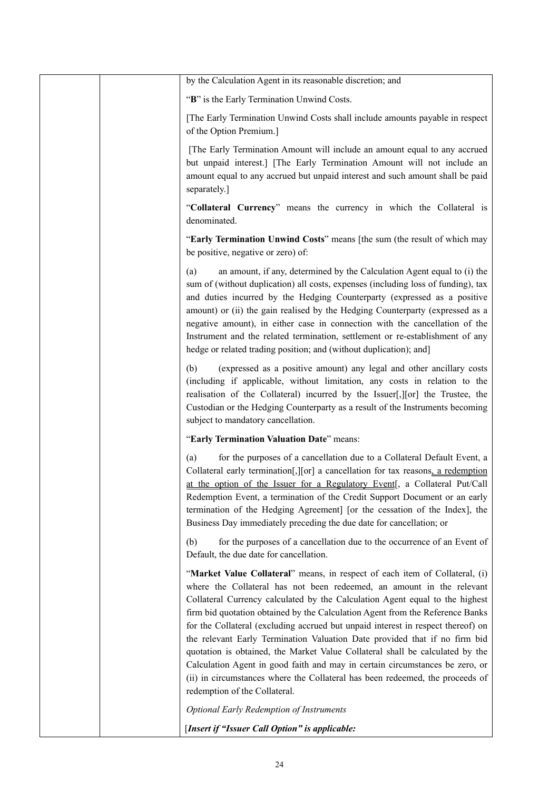|  | by the Calculation Agent in its reasonable discretion; and                                                                                                                                                                                                                                                                                                                                                                                                                                                                                                                                                                                                                                                                                                                 |
|--|----------------------------------------------------------------------------------------------------------------------------------------------------------------------------------------------------------------------------------------------------------------------------------------------------------------------------------------------------------------------------------------------------------------------------------------------------------------------------------------------------------------------------------------------------------------------------------------------------------------------------------------------------------------------------------------------------------------------------------------------------------------------------|
|  | "B" is the Early Termination Unwind Costs.                                                                                                                                                                                                                                                                                                                                                                                                                                                                                                                                                                                                                                                                                                                                 |
|  | [The Early Termination Unwind Costs shall include amounts payable in respect<br>of the Option Premium.]                                                                                                                                                                                                                                                                                                                                                                                                                                                                                                                                                                                                                                                                    |
|  | [The Early Termination Amount will include an amount equal to any accrued<br>but unpaid interest.] [The Early Termination Amount will not include an<br>amount equal to any accrued but unpaid interest and such amount shall be paid<br>separately.]                                                                                                                                                                                                                                                                                                                                                                                                                                                                                                                      |
|  | "Collateral Currency" means the currency in which the Collateral is<br>denominated.                                                                                                                                                                                                                                                                                                                                                                                                                                                                                                                                                                                                                                                                                        |
|  | "Early Termination Unwind Costs" means [the sum (the result of which may<br>be positive, negative or zero) of:                                                                                                                                                                                                                                                                                                                                                                                                                                                                                                                                                                                                                                                             |
|  | an amount, if any, determined by the Calculation Agent equal to (i) the<br>(a)<br>sum of (without duplication) all costs, expenses (including loss of funding), tax<br>and duties incurred by the Hedging Counterparty (expressed as a positive<br>amount) or (ii) the gain realised by the Hedging Counterparty (expressed as a<br>negative amount), in either case in connection with the cancellation of the<br>Instrument and the related termination, settlement or re-establishment of any<br>hedge or related trading position; and (without duplication); and]                                                                                                                                                                                                     |
|  | (expressed as a positive amount) any legal and other ancillary costs<br>(b)<br>(including if applicable, without limitation, any costs in relation to the<br>realisation of the Collateral) incurred by the Issuer[,][or] the Trustee, the<br>Custodian or the Hedging Counterparty as a result of the Instruments becoming<br>subject to mandatory cancellation.                                                                                                                                                                                                                                                                                                                                                                                                          |
|  | "Early Termination Valuation Date" means:                                                                                                                                                                                                                                                                                                                                                                                                                                                                                                                                                                                                                                                                                                                                  |
|  | for the purposes of a cancellation due to a Collateral Default Event, a<br>(a)<br>Collateral early termination[, [[or] a cancellation for tax reasons, a redemption<br>at the option of the Issuer for a Regulatory Event <sup>[, a Collateral Put/Call</sup><br>Redemption Event, a termination of the Credit Support Document or an early<br>termination of the Hedging Agreement] [or the cessation of the Index], the<br>Business Day immediately preceding the due date for cancellation; or                                                                                                                                                                                                                                                                          |
|  | (b)<br>for the purposes of a cancellation due to the occurrence of an Event of<br>Default, the due date for cancellation.                                                                                                                                                                                                                                                                                                                                                                                                                                                                                                                                                                                                                                                  |
|  | "Market Value Collateral" means, in respect of each item of Collateral, (i)<br>where the Collateral has not been redeemed, an amount in the relevant<br>Collateral Currency calculated by the Calculation Agent equal to the highest<br>firm bid quotation obtained by the Calculation Agent from the Reference Banks<br>for the Collateral (excluding accrued but unpaid interest in respect thereof) on<br>the relevant Early Termination Valuation Date provided that if no firm bid<br>quotation is obtained, the Market Value Collateral shall be calculated by the<br>Calculation Agent in good faith and may in certain circumstances be zero, or<br>(ii) in circumstances where the Collateral has been redeemed, the proceeds of<br>redemption of the Collateral. |
|  | <b>Optional Early Redemption of Instruments</b>                                                                                                                                                                                                                                                                                                                                                                                                                                                                                                                                                                                                                                                                                                                            |
|  | [Insert if "Issuer Call Option" is applicable:                                                                                                                                                                                                                                                                                                                                                                                                                                                                                                                                                                                                                                                                                                                             |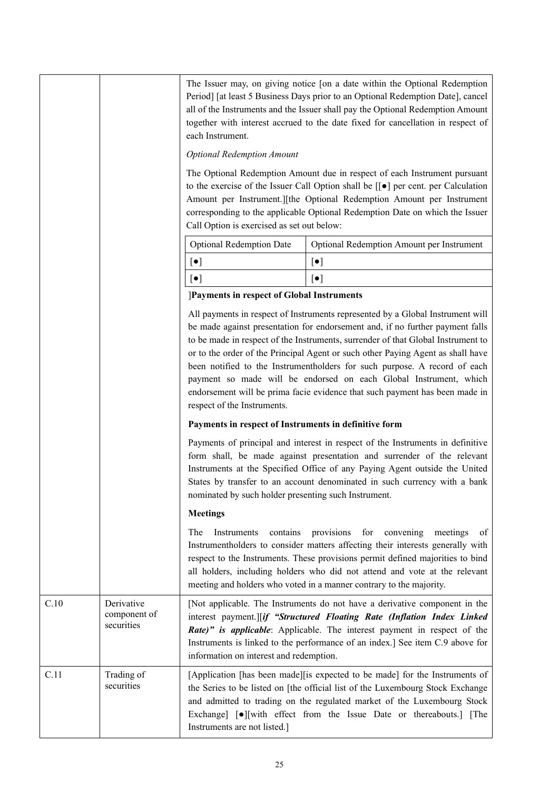|      |                                          | The Issuer may, on giving notice [on a date within the Optional Redemption<br>Period] [at least 5 Business Days prior to an Optional Redemption Date], cancel<br>all of the Instruments and the Issuer shall pay the Optional Redemption Amount<br>together with interest accrued to the date fixed for cancellation in respect of<br>each Instrument.                                                                                                                                                                                                                                                 |                                           |  |  |  |  |  |  |
|------|------------------------------------------|--------------------------------------------------------------------------------------------------------------------------------------------------------------------------------------------------------------------------------------------------------------------------------------------------------------------------------------------------------------------------------------------------------------------------------------------------------------------------------------------------------------------------------------------------------------------------------------------------------|-------------------------------------------|--|--|--|--|--|--|
|      |                                          | <b>Optional Redemption Amount</b>                                                                                                                                                                                                                                                                                                                                                                                                                                                                                                                                                                      |                                           |  |  |  |  |  |  |
|      |                                          | The Optional Redemption Amount due in respect of each Instrument pursuant<br>to the exercise of the Issuer Call Option shall be $[[\bullet]]$ per cent. per Calculation<br>Amount per Instrument.][the Optional Redemption Amount per Instrument<br>corresponding to the applicable Optional Redemption Date on which the Issuer<br>Call Option is exercised as set out below:                                                                                                                                                                                                                         |                                           |  |  |  |  |  |  |
|      |                                          | <b>Optional Redemption Date</b>                                                                                                                                                                                                                                                                                                                                                                                                                                                                                                                                                                        | Optional Redemption Amount per Instrument |  |  |  |  |  |  |
|      |                                          | $[\bullet]$                                                                                                                                                                                                                                                                                                                                                                                                                                                                                                                                                                                            | $\left[\bullet\right]$                    |  |  |  |  |  |  |
|      |                                          | $[\bullet]$                                                                                                                                                                                                                                                                                                                                                                                                                                                                                                                                                                                            | $[\bullet]$                               |  |  |  |  |  |  |
|      |                                          | ]Payments in respect of Global Instruments                                                                                                                                                                                                                                                                                                                                                                                                                                                                                                                                                             |                                           |  |  |  |  |  |  |
|      |                                          | All payments in respect of Instruments represented by a Global Instrument will<br>be made against presentation for endorsement and, if no further payment falls<br>to be made in respect of the Instruments, surrender of that Global Instrument to<br>or to the order of the Principal Agent or such other Paying Agent as shall have<br>been notified to the Instrumentholders for such purpose. A record of each<br>payment so made will be endorsed on each Global Instrument, which<br>endorsement will be prima facie evidence that such payment has been made in<br>respect of the Instruments. |                                           |  |  |  |  |  |  |
|      |                                          | Payments in respect of Instruments in definitive form                                                                                                                                                                                                                                                                                                                                                                                                                                                                                                                                                  |                                           |  |  |  |  |  |  |
|      |                                          | Payments of principal and interest in respect of the Instruments in definitive<br>form shall, be made against presentation and surrender of the relevant<br>Instruments at the Specified Office of any Paying Agent outside the United<br>States by transfer to an account denominated in such currency with a bank<br>nominated by such holder presenting such Instrument.                                                                                                                                                                                                                            |                                           |  |  |  |  |  |  |
|      |                                          | <b>Meetings</b>                                                                                                                                                                                                                                                                                                                                                                                                                                                                                                                                                                                        |                                           |  |  |  |  |  |  |
|      |                                          | The<br>provisions<br>for<br>convening<br>Instruments<br>contains<br>meetings<br>Instrumentholders to consider matters affecting their interests generally with<br>respect to the Instruments. These provisions permit defined majorities to bind<br>all holders, including holders who did not attend and vote at the relevant<br>meeting and holders who voted in a manner contrary to the majority.                                                                                                                                                                                                  |                                           |  |  |  |  |  |  |
| C.10 | Derivative<br>component of<br>securities | [Not applicable. The Instruments do not have a derivative component in the<br>interest payment.][if "Structured Floating Rate (Inflation Index Linked<br>Rate)" is applicable: Applicable. The interest payment in respect of the<br>Instruments is linked to the performance of an index.] See item C.9 above for<br>information on interest and redemption.                                                                                                                                                                                                                                          |                                           |  |  |  |  |  |  |
| C.11 | Trading of<br>securities                 | [Application [has been made][is expected to be made] for the Instruments of<br>the Series to be listed on [the official list of the Luxembourg Stock Exchange<br>and admitted to trading on the regulated market of the Luxembourg Stock<br>Exchange] [ $\bullet$ ][with effect from the Issue Date or thereabouts.] [The<br>Instruments are not listed.]                                                                                                                                                                                                                                              |                                           |  |  |  |  |  |  |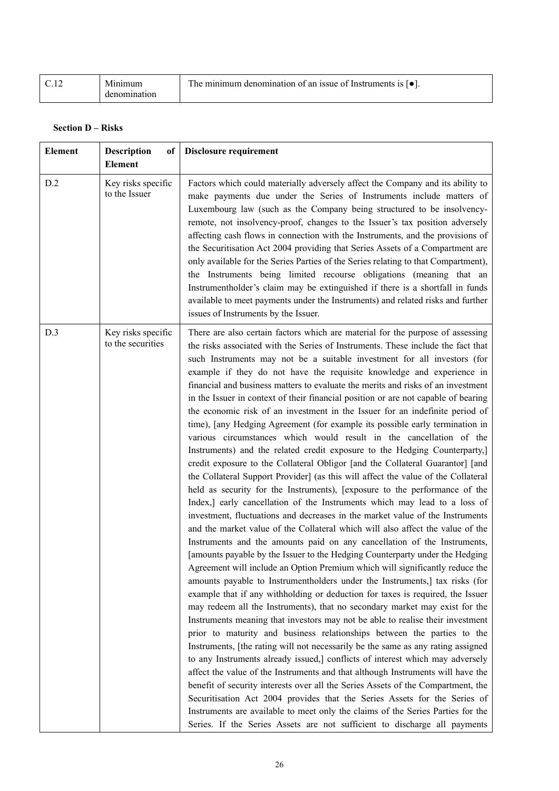| C.12 | Minimum      | The minimum denomination of an issue of Instruments is $\lceil \bullet \rceil$ . |
|------|--------------|----------------------------------------------------------------------------------|
|      | denomination |                                                                                  |

## **Section D – Risks**

| <b>Element</b> | <b>Description</b><br>of<br><b>Element</b> | <b>Disclosure requirement</b>                                                                                                                                                                                                                                                                                                                                                                                                                                                                                                                                                                                                                                                                                                                                                                                                                                                                                                                                                                                                                                                                                                                                                                                                                                                                                                                                                                                                                                                                                                                                                                                                                                                                                                                                                                                                                                                                                                                                                                                                                                                                                                                                                                                                                                                                                                                                                                                                                                                                                                                                                |
|----------------|--------------------------------------------|------------------------------------------------------------------------------------------------------------------------------------------------------------------------------------------------------------------------------------------------------------------------------------------------------------------------------------------------------------------------------------------------------------------------------------------------------------------------------------------------------------------------------------------------------------------------------------------------------------------------------------------------------------------------------------------------------------------------------------------------------------------------------------------------------------------------------------------------------------------------------------------------------------------------------------------------------------------------------------------------------------------------------------------------------------------------------------------------------------------------------------------------------------------------------------------------------------------------------------------------------------------------------------------------------------------------------------------------------------------------------------------------------------------------------------------------------------------------------------------------------------------------------------------------------------------------------------------------------------------------------------------------------------------------------------------------------------------------------------------------------------------------------------------------------------------------------------------------------------------------------------------------------------------------------------------------------------------------------------------------------------------------------------------------------------------------------------------------------------------------------------------------------------------------------------------------------------------------------------------------------------------------------------------------------------------------------------------------------------------------------------------------------------------------------------------------------------------------------------------------------------------------------------------------------------------------------|
| D.2            | Key risks specific<br>to the Issuer        | Factors which could materially adversely affect the Company and its ability to<br>make payments due under the Series of Instruments include matters of<br>Luxembourg law (such as the Company being structured to be insolvency-<br>remote, not insolvency-proof, changes to the Issuer's tax position adversely<br>affecting cash flows in connection with the Instruments, and the provisions of<br>the Securitisation Act 2004 providing that Series Assets of a Compartment are<br>only available for the Series Parties of the Series relating to that Compartment),<br>the Instruments being limited recourse obligations (meaning that an<br>Instrumentholder's claim may be extinguished if there is a shortfall in funds<br>available to meet payments under the Instruments) and related risks and further<br>issues of Instruments by the Issuer.                                                                                                                                                                                                                                                                                                                                                                                                                                                                                                                                                                                                                                                                                                                                                                                                                                                                                                                                                                                                                                                                                                                                                                                                                                                                                                                                                                                                                                                                                                                                                                                                                                                                                                                 |
| D.3            | Key risks specific<br>to the securities    | There are also certain factors which are material for the purpose of assessing<br>the risks associated with the Series of Instruments. These include the fact that<br>such Instruments may not be a suitable investment for all investors (for<br>example if they do not have the requisite knowledge and experience in<br>financial and business matters to evaluate the merits and risks of an investment<br>in the Issuer in context of their financial position or are not capable of bearing<br>the economic risk of an investment in the Issuer for an indefinite period of<br>time), [any Hedging Agreement (for example its possible early termination in<br>various circumstances which would result in the cancellation of the<br>Instruments) and the related credit exposure to the Hedging Counterparty,]<br>credit exposure to the Collateral Obligor [and the Collateral Guarantor] [and<br>the Collateral Support Provider] (as this will affect the value of the Collateral<br>held as security for the Instruments), [exposure to the performance of the<br>Index,] early cancellation of the Instruments which may lead to a loss of<br>investment, fluctuations and decreases in the market value of the Instruments<br>and the market value of the Collateral which will also affect the value of the<br>Instruments and the amounts paid on any cancellation of the Instruments,<br>[amounts payable by the Issuer to the Hedging Counterparty under the Hedging<br>Agreement will include an Option Premium which will significantly reduce the<br>amounts payable to Instrumentholders under the Instruments,] tax risks (for<br>example that if any withholding or deduction for taxes is required, the Issuer<br>may redeem all the Instruments), that no secondary market may exist for the<br>Instruments meaning that investors may not be able to realise their investment<br>prior to maturity and business relationships between the parties to the<br>Instruments, [the rating will not necessarily be the same as any rating assigned<br>to any Instruments already issued,] conflicts of interest which may adversely<br>affect the value of the Instruments and that although Instruments will have the<br>benefit of security interests over all the Series Assets of the Compartment, the<br>Securitisation Act 2004 provides that the Series Assets for the Series of<br>Instruments are available to meet only the claims of the Series Parties for the<br>Series. If the Series Assets are not sufficient to discharge all payments |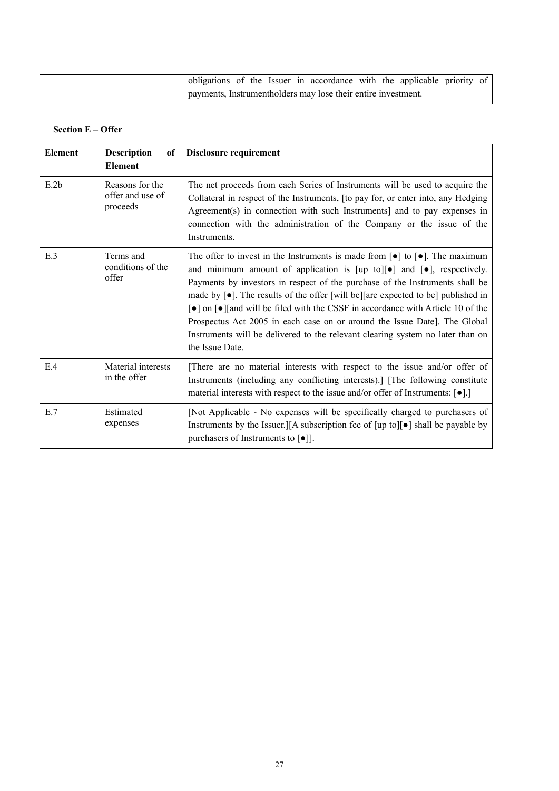|  |  |  | obligations of the Issuer in accordance with the applicable priority of |  |  |  |
|--|--|--|-------------------------------------------------------------------------|--|--|--|
|  |  |  | payments, Instrumentholders may lose their entire investment.           |  |  |  |

## **Section E – Offer**

| <b>Element</b> | <b>Description</b><br>of<br><b>Element</b>      | Disclosure requirement                                                                                                                                                                                                                                                                                                                                                                                                                                                                                                                                                                                                                                              |
|----------------|-------------------------------------------------|---------------------------------------------------------------------------------------------------------------------------------------------------------------------------------------------------------------------------------------------------------------------------------------------------------------------------------------------------------------------------------------------------------------------------------------------------------------------------------------------------------------------------------------------------------------------------------------------------------------------------------------------------------------------|
| E.2b           | Reasons for the<br>offer and use of<br>proceeds | The net proceeds from each Series of Instruments will be used to acquire the<br>Collateral in respect of the Instruments, [to pay for, or enter into, any Hedging<br>Agreement(s) in connection with such Instruments] and to pay expenses in<br>connection with the administration of the Company or the issue of the<br>Instruments.                                                                                                                                                                                                                                                                                                                              |
| E.3            | Terms and<br>conditions of the<br>offer         | The offer to invest in the Instruments is made from $\lceil \bullet \rceil$ to $\lceil \bullet \rceil$ . The maximum<br>and minimum amount of application is [up to][ $\bullet$ ] and [ $\bullet$ ], respectively.<br>Payments by investors in respect of the purchase of the Instruments shall be<br>made by $[\bullet]$ . The results of the offer [will be][are expected to be] published in<br>• on [•] [and will be filed with the CSSF in accordance with Article 10 of the<br>Prospectus Act 2005 in each case on or around the Issue Date]. The Global<br>Instruments will be delivered to the relevant clearing system no later than on<br>the Issue Date. |
| E.4            | Material interests<br>in the offer              | There are no material interests with respect to the issue and/or offer of<br>Instruments (including any conflicting interests).] [The following constitute<br>material interests with respect to the issue and/or offer of Instruments: $[\bullet]$ .]                                                                                                                                                                                                                                                                                                                                                                                                              |
| E.7            | Estimated<br>expenses                           | [Not Applicable - No expenses will be specifically charged to purchasers of<br>Instruments by the Issuer. [[A subscription fee of $[\psi]$ to $[\bullet]$ ] shall be payable by<br>purchasers of Instruments to $\lceil \bullet \rceil$ .                                                                                                                                                                                                                                                                                                                                                                                                                           |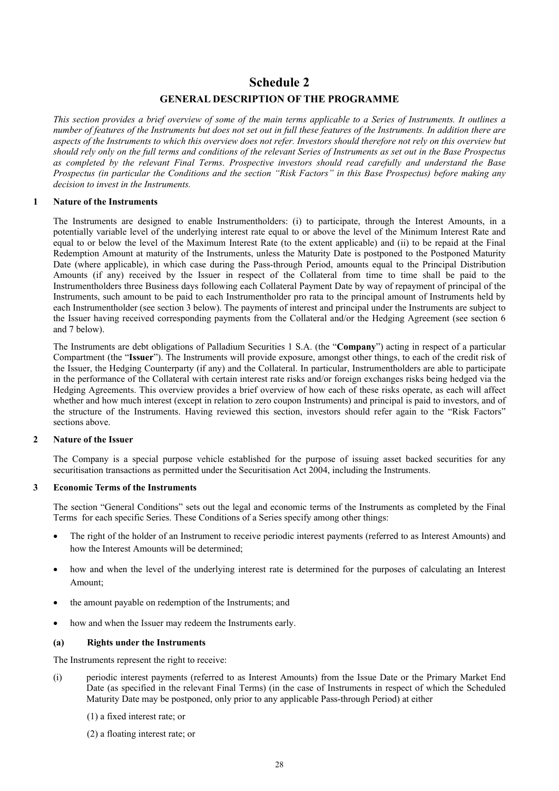## **Schedule 2 GENERAL DESCRIPTION OF THE PROGRAMME**

*This section provides a brief overview of some of the main terms applicable to a Series of Instruments. It outlines a number of features of the Instruments but does not set out in full these features of the Instruments. In addition there are aspects of the Instruments to which this overview does not refer. Investors should therefore not rely on this overview but should rely only on the full terms and conditions of the relevant Series of Instruments as set out in the Base Prospectus as completed by the relevant Final Terms*. *Prospective investors should read carefully and understand the Base Prospectus (in particular the Conditions and the section "Risk Factors" in this Base Prospectus) before making any decision to invest in the Instruments.*

#### **1 Nature of the Instruments**

The Instruments are designed to enable Instrumentholders: (i) to participate, through the Interest Amounts, in a potentially variable level of the underlying interest rate equal to or above the level of the Minimum Interest Rate and equal to or below the level of the Maximum Interest Rate (to the extent applicable) and (ii) to be repaid at the Final Redemption Amount at maturity of the Instruments, unless the Maturity Date is postponed to the Postponed Maturity Date (where applicable), in which case during the Pass-through Period, amounts equal to the Principal Distribution Amounts (if any) received by the Issuer in respect of the Collateral from time to time shall be paid to the Instrumentholders three Business days following each Collateral Payment Date by way of repayment of principal of the Instruments, such amount to be paid to each Instrumentholder pro rata to the principal amount of Instruments held by each Instrumentholder (see section 3 below). The payments of interest and principal under the Instruments are subject to the Issuer having received corresponding payments from the Collateral and/or the Hedging Agreement (see section 6 and 7 below).

The Instruments are debt obligations of Palladium Securities 1 S.A. (the "**Company**") acting in respect of a particular Compartment (the "**Issuer**"). The Instruments will provide exposure, amongst other things, to each of the credit risk of the Issuer, the Hedging Counterparty (if any) and the Collateral. In particular, Instrumentholders are able to participate in the performance of the Collateral with certain interest rate risks and/or foreign exchanges risks being hedged via the Hedging Agreements. This overview provides a brief overview of how each of these risks operate, as each will affect whether and how much interest (except in relation to zero coupon Instruments) and principal is paid to investors, and of the structure of the Instruments. Having reviewed this section, investors should refer again to the "Risk Factors" sections above.

#### **2 Nature of the Issuer**

The Company is a special purpose vehicle established for the purpose of issuing asset backed securities for any securitisation transactions as permitted under the Securitisation Act 2004, including the Instruments.

#### **3 Economic Terms of the Instruments**

The section "General Conditions" sets out the legal and economic terms of the Instruments as completed by the Final Terms for each specific Series. These Conditions of a Series specify among other things:

- The right of the holder of an Instrument to receive periodic interest payments (referred to as Interest Amounts) and how the Interest Amounts will be determined;
- how and when the level of the underlying interest rate is determined for the purposes of calculating an Interest Amount;
- the amount payable on redemption of the Instruments; and
- how and when the Issuer may redeem the Instruments early.

#### **(a) Rights under the Instruments**

The Instruments represent the right to receive:

- (i) periodic interest payments (referred to as Interest Amounts) from the Issue Date or the Primary Market End Date (as specified in the relevant Final Terms) (in the case of Instruments in respect of which the Scheduled Maturity Date may be postponed, only prior to any applicable Pass-through Period) at either
	- (1) a fixed interest rate; or
	- (2) a floating interest rate; or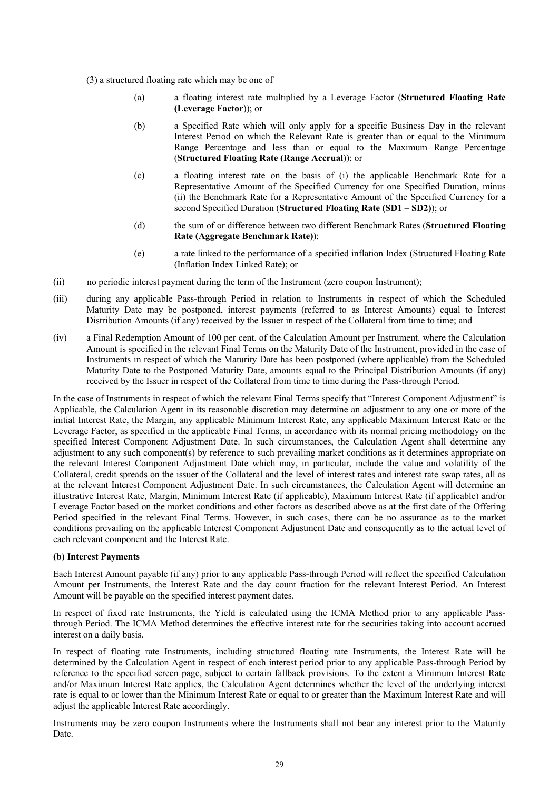- (3) a structured floating rate which may be one of
	- (a) a floating interest rate multiplied by a Leverage Factor (**Structured Floating Rate (Leverage Factor**)); or
	- (b) a Specified Rate which will only apply for a specific Business Day in the relevant Interest Period on which the Relevant Rate is greater than or equal to the Minimum Range Percentage and less than or equal to the Maximum Range Percentage (**Structured Floating Rate (Range Accrual**)); or
	- (c) a floating interest rate on the basis of (i) the applicable Benchmark Rate for a Representative Amount of the Specified Currency for one Specified Duration, minus (ii) the Benchmark Rate for a Representative Amount of the Specified Currency for a second Specified Duration (**Structured Floating Rate (SD1 – SD2)**); or
	- (d) the sum of or difference between two different Benchmark Rates (**Structured Floating Rate (Aggregate Benchmark Rate)**);
	- (e) a rate linked to the performance of a specified inflation Index (Structured Floating Rate (Inflation Index Linked Rate); or
- (ii) no periodic interest payment during the term of the Instrument (zero coupon Instrument);
- (iii) during any applicable Pass-through Period in relation to Instruments in respect of which the Scheduled Maturity Date may be postponed, interest payments (referred to as Interest Amounts) equal to Interest Distribution Amounts (if any) received by the Issuer in respect of the Collateral from time to time; and
- (iv) a Final Redemption Amount of 100 per cent. of the Calculation Amount per Instrument. where the Calculation Amount is specified in the relevant Final Terms on the Maturity Date of the Instrument, provided in the case of Instruments in respect of which the Maturity Date has been postponed (where applicable) from the Scheduled Maturity Date to the Postponed Maturity Date, amounts equal to the Principal Distribution Amounts (if any) received by the Issuer in respect of the Collateral from time to time during the Pass-through Period.

In the case of Instruments in respect of which the relevant Final Terms specify that "Interest Component Adjustment" is Applicable, the Calculation Agent in its reasonable discretion may determine an adjustment to any one or more of the initial Interest Rate, the Margin, any applicable Minimum Interest Rate, any applicable Maximum Interest Rate or the Leverage Factor, as specified in the applicable Final Terms, in accordance with its normal pricing methodology on the specified Interest Component Adjustment Date. In such circumstances, the Calculation Agent shall determine any adjustment to any such component(s) by reference to such prevailing market conditions as it determines appropriate on the relevant Interest Component Adjustment Date which may, in particular, include the value and volatility of the Collateral, credit spreads on the issuer of the Collateral and the level of interest rates and interest rate swap rates, all as at the relevant Interest Component Adjustment Date. In such circumstances, the Calculation Agent will determine an illustrative Interest Rate, Margin, Minimum Interest Rate (if applicable), Maximum Interest Rate (if applicable) and/or Leverage Factor based on the market conditions and other factors as described above as at the first date of the Offering Period specified in the relevant Final Terms. However, in such cases, there can be no assurance as to the market conditions prevailing on the applicable Interest Component Adjustment Date and consequently as to the actual level of each relevant component and the Interest Rate.

#### **(b) Interest Payments**

Each Interest Amount payable (if any) prior to any applicable Pass-through Period will reflect the specified Calculation Amount per Instruments, the Interest Rate and the day count fraction for the relevant Interest Period. An Interest Amount will be payable on the specified interest payment dates.

In respect of fixed rate Instruments, the Yield is calculated using the ICMA Method prior to any applicable Passthrough Period. The ICMA Method determines the effective interest rate for the securities taking into account accrued interest on a daily basis.

In respect of floating rate Instruments, including structured floating rate Instruments, the Interest Rate will be determined by the Calculation Agent in respect of each interest period prior to any applicable Pass-through Period by reference to the specified screen page, subject to certain fallback provisions. To the extent a Minimum Interest Rate and/or Maximum Interest Rate applies, the Calculation Agent determines whether the level of the underlying interest rate is equal to or lower than the Minimum Interest Rate or equal to or greater than the Maximum Interest Rate and will adjust the applicable Interest Rate accordingly.

Instruments may be zero coupon Instruments where the Instruments shall not bear any interest prior to the Maturity Date.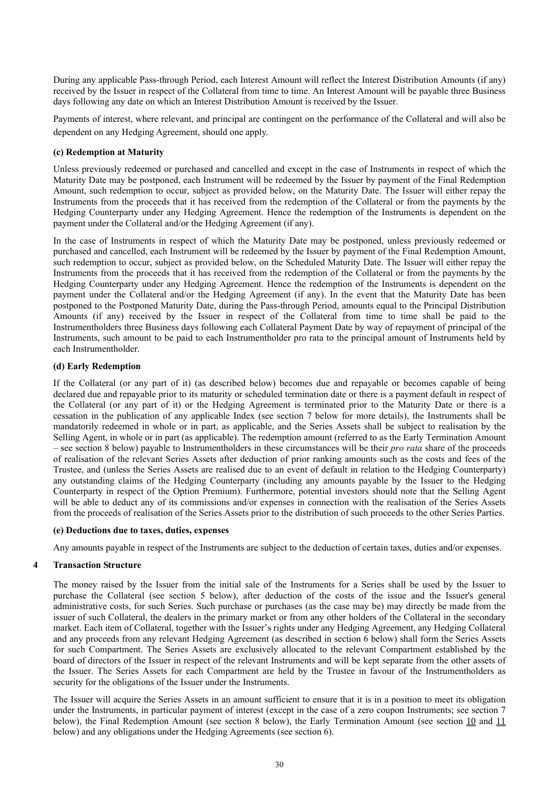During any applicable Pass-through Period, each Interest Amount will reflect the Interest Distribution Amounts (if any) received by the Issuer in respect of the Collateral from time to time. An Interest Amount will be payable three Business days following any date on which an Interest Distribution Amount is received by the Issuer.

Payments of interest, where relevant, and principal are contingent on the performance of the Collateral and will also be dependent on any Hedging Agreement, should one apply.

#### **(c) Redemption at Maturity**

Unless previously redeemed or purchased and cancelled and except in the case of Instruments in respect of which the Maturity Date may be postponed, each Instrument will be redeemed by the Issuer by payment of the Final Redemption Amount, such redemption to occur, subject as provided below, on the Maturity Date. The Issuer will either repay the Instruments from the proceeds that it has received from the redemption of the Collateral or from the payments by the Hedging Counterparty under any Hedging Agreement. Hence the redemption of the Instruments is dependent on the payment under the Collateral and/or the Hedging Agreement (if any).

In the case of Instruments in respect of which the Maturity Date may be postponed, unless previously redeemed or purchased and cancelled, each Instrument will be redeemed by the Issuer by payment of the Final Redemption Amount, such redemption to occur, subject as provided below, on the Scheduled Maturity Date. The Issuer will either repay the Instruments from the proceeds that it has received from the redemption of the Collateral or from the payments by the Hedging Counterparty under any Hedging Agreement. Hence the redemption of the Instruments is dependent on the payment under the Collateral and/or the Hedging Agreement (if any). In the event that the Maturity Date has been postponed to the Postponed Maturity Date, during the Pass-through Period, amounts equal to the Principal Distribution Amounts (if any) received by the Issuer in respect of the Collateral from time to time shall be paid to the Instrumentholders three Business days following each Collateral Payment Date by way of repayment of principal of the Instruments, such amount to be paid to each Instrumentholder pro rata to the principal amount of Instruments held by each Instrumentholder.

#### **(d) Early Redemption**

If the Collateral (or any part of it) (as described below) becomes due and repayable or becomes capable of being declared due and repayable prior to its maturity or scheduled termination date or there is a payment default in respect of the Collateral (or any part of it) or the Hedging Agreement is terminated prior to the Maturity Date or there is a cessation in the publication of any applicable Index (see section 7 below for more details), the Instruments shall be mandatorily redeemed in whole or in part, as applicable, and the Series Assets shall be subject to realisation by the Selling Agent, in whole or in part (as applicable). The redemption amount (referred to as the Early Termination Amount – see section 8 below) payable to Instrumentholders in these circumstances will be their *pro rata* share of the proceeds of realisation of the relevant Series Assets after deduction of prior ranking amounts such as the costs and fees of the Trustee, and (unless the Series Assets are realised due to an event of default in relation to the Hedging Counterparty) any outstanding claims of the Hedging Counterparty (including any amounts payable by the Issuer to the Hedging Counterparty in respect of the Option Premium). Furthermore, potential investors should note that the Selling Agent will be able to deduct any of its commissions and/or expenses in connection with the realisation of the Series Assets from the proceeds of realisation of the Series Assets prior to the distribution of such proceeds to the other Series Parties.

#### **(e) Deductions due to taxes, duties, expenses**

Any amounts payable in respect of the Instruments are subject to the deduction of certain taxes, duties and/or expenses.

#### **4 Transaction Structure**

The money raised by the Issuer from the initial sale of the Instruments for a Series shall be used by the Issuer to purchase the Collateral (see section 5 below), after deduction of the costs of the issue and the Issuer's general administrative costs, for such Series. Such purchase or purchases (as the case may be) may directly be made from the issuer of such Collateral, the dealers in the primary market or from any other holders of the Collateral in the secondary market. Each item of Collateral, together with the Issuer's rights under any Hedging Agreement, any Hedging Collateral and any proceeds from any relevant Hedging Agreement (as described in section 6 below) shall form the Series Assets for such Compartment. The Series Assets are exclusively allocated to the relevant Compartment established by the board of directors of the Issuer in respect of the relevant Instruments and will be kept separate from the other assets of the Issuer. The Series Assets for each Compartment are held by the Trustee in favour of the Instrumentholders as security for the obligations of the Issuer under the Instruments.

The Issuer will acquire the Series Assets in an amount sufficient to ensure that it is in a position to meet its obligation under the Instruments, in particular payment of interest (except in the case of a zero coupon Instruments; see section 7 below), the Final Redemption Amount (see section 8 below), the Early Termination Amount (see section 10 and 11 below) and any obligations under the Hedging Agreements (see section 6).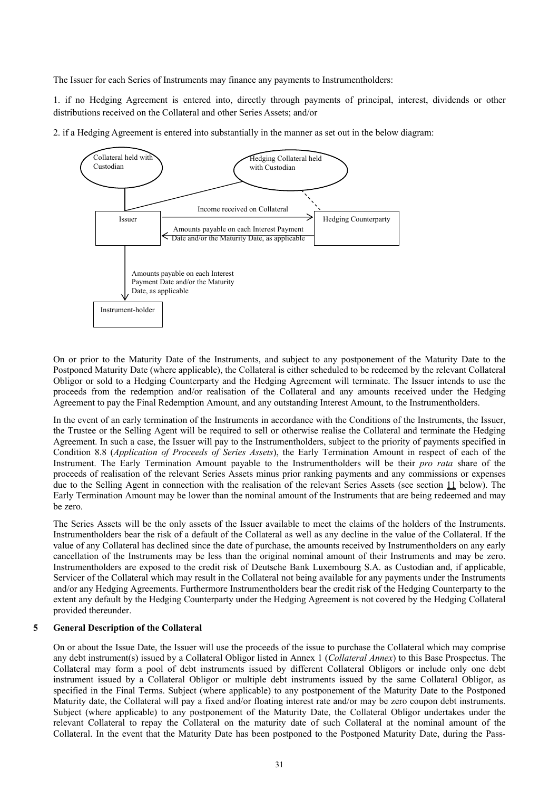The Issuer for each Series of Instruments may finance any payments to Instrumentholders:

1. if no Hedging Agreement is entered into, directly through payments of principal, interest, dividends or other distributions received on the Collateral and other Series Assets; and/or





On or prior to the Maturity Date of the Instruments, and subject to any postponement of the Maturity Date to the Postponed Maturity Date (where applicable), the Collateral is either scheduled to be redeemed by the relevant Collateral Obligor or sold to a Hedging Counterparty and the Hedging Agreement will terminate. The Issuer intends to use the proceeds from the redemption and/or realisation of the Collateral and any amounts received under the Hedging Agreement to pay the Final Redemption Amount, and any outstanding Interest Amount, to the Instrumentholders.

In the event of an early termination of the Instruments in accordance with the Conditions of the Instruments, the Issuer, the Trustee or the Selling Agent will be required to sell or otherwise realise the Collateral and terminate the Hedging Agreement. In such a case, the Issuer will pay to the Instrumentholders, subject to the priority of payments specified in Condition 8.8 (*Application of Proceeds of Series Assets*), the Early Termination Amount in respect of each of the Instrument. The Early Termination Amount payable to the Instrumentholders will be their *pro rata* share of the proceeds of realisation of the relevant Series Assets minus prior ranking payments and any commissions or expenses due to the Selling Agent in connection with the realisation of the relevant Series Assets (see section 11 below). The Early Termination Amount may be lower than the nominal amount of the Instruments that are being redeemed and may be zero.

The Series Assets will be the only assets of the Issuer available to meet the claims of the holders of the Instruments. Instrumentholders bear the risk of a default of the Collateral as well as any decline in the value of the Collateral. If the value of any Collateral has declined since the date of purchase, the amounts received by Instrumentholders on any early cancellation of the Instruments may be less than the original nominal amount of their Instruments and may be zero. Instrumentholders are exposed to the credit risk of Deutsche Bank Luxembourg S.A. as Custodian and, if applicable, Servicer of the Collateral which may result in the Collateral not being available for any payments under the Instruments and/or any Hedging Agreements. Furthermore Instrumentholders bear the credit risk of the Hedging Counterparty to the extent any default by the Hedging Counterparty under the Hedging Agreement is not covered by the Hedging Collateral provided thereunder.

#### **5 General Description of the Collateral**

On or about the Issue Date, the Issuer will use the proceeds of the issue to purchase the Collateral which may comprise any debt instrument(s) issued by a Collateral Obligor listed in Annex 1 (*Collateral Annex*) to this Base Prospectus. The Collateral may form a pool of debt instruments issued by different Collateral Obligors or include only one debt instrument issued by a Collateral Obligor or multiple debt instruments issued by the same Collateral Obligor, as specified in the Final Terms. Subject (where applicable) to any postponement of the Maturity Date to the Postponed Maturity date, the Collateral will pay a fixed and/or floating interest rate and/or may be zero coupon debt instruments. Subject (where applicable) to any postponement of the Maturity Date, the Collateral Obligor undertakes under the relevant Collateral to repay the Collateral on the maturity date of such Collateral at the nominal amount of the Collateral. In the event that the Maturity Date has been postponed to the Postponed Maturity Date, during the Pass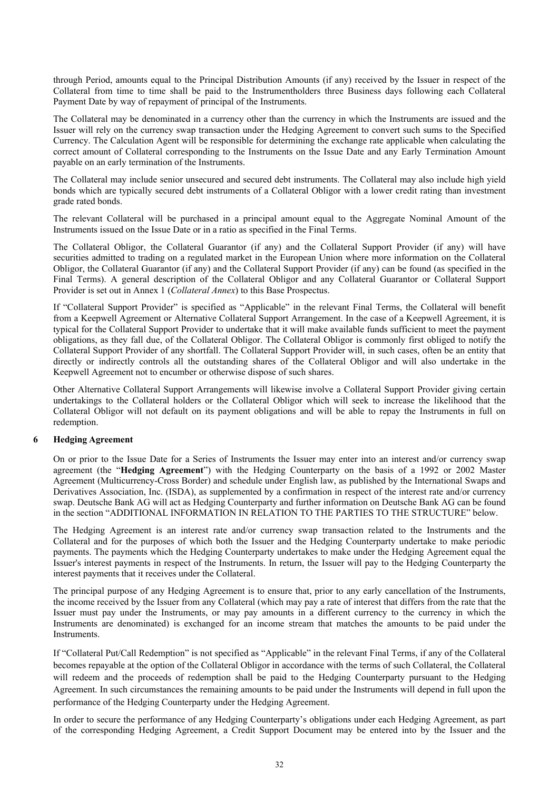through Period, amounts equal to the Principal Distribution Amounts (if any) received by the Issuer in respect of the Collateral from time to time shall be paid to the Instrumentholders three Business days following each Collateral Payment Date by way of repayment of principal of the Instruments.

The Collateral may be denominated in a currency other than the currency in which the Instruments are issued and the Issuer will rely on the currency swap transaction under the Hedging Agreement to convert such sums to the Specified Currency. The Calculation Agent will be responsible for determining the exchange rate applicable when calculating the correct amount of Collateral corresponding to the Instruments on the Issue Date and any Early Termination Amount payable on an early termination of the Instruments.

The Collateral may include senior unsecured and secured debt instruments. The Collateral may also include high yield bonds which are typically secured debt instruments of a Collateral Obligor with a lower credit rating than investment grade rated bonds.

The relevant Collateral will be purchased in a principal amount equal to the Aggregate Nominal Amount of the Instruments issued on the Issue Date or in a ratio as specified in the Final Terms.

The Collateral Obligor, the Collateral Guarantor (if any) and the Collateral Support Provider (if any) will have securities admitted to trading on a regulated market in the European Union where more information on the Collateral Obligor, the Collateral Guarantor (if any) and the Collateral Support Provider (if any) can be found (as specified in the Final Terms). A general description of the Collateral Obligor and any Collateral Guarantor or Collateral Support Provider is set out in Annex 1 (*Collateral Annex*) to this Base Prospectus.

If "Collateral Support Provider" is specified as "Applicable" in the relevant Final Terms, the Collateral will benefit from a Keepwell Agreement or Alternative Collateral Support Arrangement. In the case of a Keepwell Agreement, it is typical for the Collateral Support Provider to undertake that it will make available funds sufficient to meet the payment obligations, as they fall due, of the Collateral Obligor. The Collateral Obligor is commonly first obliged to notify the Collateral Support Provider of any shortfall. The Collateral Support Provider will, in such cases, often be an entity that directly or indirectly controls all the outstanding shares of the Collateral Obligor and will also undertake in the Keepwell Agreement not to encumber or otherwise dispose of such shares.

Other Alternative Collateral Support Arrangements will likewise involve a Collateral Support Provider giving certain undertakings to the Collateral holders or the Collateral Obligor which will seek to increase the likelihood that the Collateral Obligor will not default on its payment obligations and will be able to repay the Instruments in full on redemption.

#### **6 Hedging Agreement**

On or prior to the Issue Date for a Series of Instruments the Issuer may enter into an interest and/or currency swap agreement (the "**Hedging Agreement**") with the Hedging Counterparty on the basis of a 1992 or 2002 Master Agreement (Multicurrency-Cross Border) and schedule under English law, as published by the International Swaps and Derivatives Association, Inc. (ISDA), as supplemented by a confirmation in respect of the interest rate and/or currency swap. Deutsche Bank AG will act as Hedging Counterparty and further information on Deutsche Bank AG can be found in the section "ADDITIONAL INFORMATION IN RELATION TO THE PARTIES TO THE STRUCTURE" below.

The Hedging Agreement is an interest rate and/or currency swap transaction related to the Instruments and the Collateral and for the purposes of which both the Issuer and the Hedging Counterparty undertake to make periodic payments. The payments which the Hedging Counterparty undertakes to make under the Hedging Agreement equal the Issuer's interest payments in respect of the Instruments. In return, the Issuer will pay to the Hedging Counterparty the interest payments that it receives under the Collateral.

The principal purpose of any Hedging Agreement is to ensure that, prior to any early cancellation of the Instruments, the income received by the Issuer from any Collateral (which may pay a rate of interest that differs from the rate that the Issuer must pay under the Instruments, or may pay amounts in a different currency to the currency in which the Instruments are denominated) is exchanged for an income stream that matches the amounts to be paid under the **Instruments** 

If "Collateral Put/Call Redemption" is not specified as "Applicable" in the relevant Final Terms, if any of the Collateral becomes repayable at the option of the Collateral Obligor in accordance with the terms of such Collateral, the Collateral will redeem and the proceeds of redemption shall be paid to the Hedging Counterparty pursuant to the Hedging Agreement. In such circumstances the remaining amounts to be paid under the Instruments will depend in full upon the performance of the Hedging Counterparty under the Hedging Agreement.

In order to secure the performance of any Hedging Counterparty's obligations under each Hedging Agreement, as part of the corresponding Hedging Agreement, a Credit Support Document may be entered into by the Issuer and the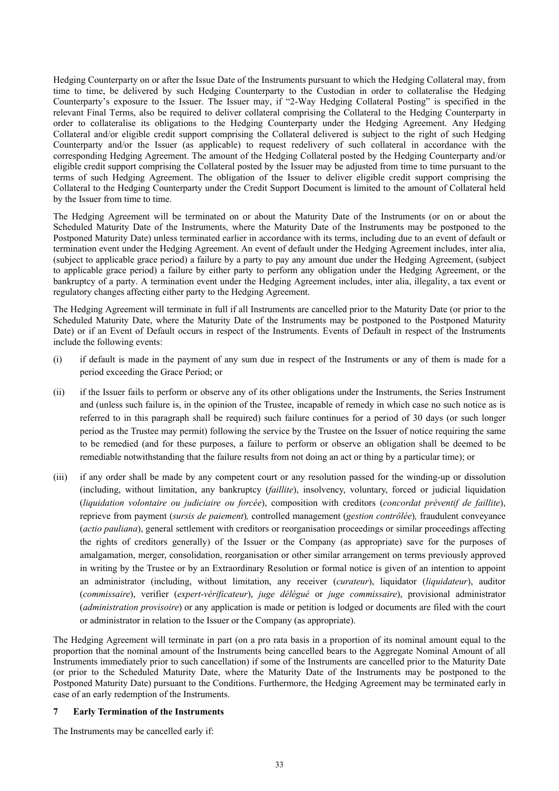Hedging Counterparty on or after the Issue Date of the Instruments pursuant to which the Hedging Collateral may, from time to time, be delivered by such Hedging Counterparty to the Custodian in order to collateralise the Hedging Counterparty's exposure to the Issuer. The Issuer may, if "2-Way Hedging Collateral Posting" is specified in the relevant Final Terms, also be required to deliver collateral comprising the Collateral to the Hedging Counterparty in order to collateralise its obligations to the Hedging Counterparty under the Hedging Agreement. Any Hedging Collateral and/or eligible credit support comprising the Collateral delivered is subject to the right of such Hedging Counterparty and/or the Issuer (as applicable) to request redelivery of such collateral in accordance with the corresponding Hedging Agreement. The amount of the Hedging Collateral posted by the Hedging Counterparty and/or eligible credit support comprising the Collateral posted by the Issuer may be adjusted from time to time pursuant to the terms of such Hedging Agreement. The obligation of the Issuer to deliver eligible credit support comprising the Collateral to the Hedging Counterparty under the Credit Support Document is limited to the amount of Collateral held by the Issuer from time to time.

The Hedging Agreement will be terminated on or about the Maturity Date of the Instruments (or on or about the Scheduled Maturity Date of the Instruments, where the Maturity Date of the Instruments may be postponed to the Postponed Maturity Date) unless terminated earlier in accordance with its terms, including due to an event of default or termination event under the Hedging Agreement. An event of default under the Hedging Agreement includes, inter alia, (subject to applicable grace period) a failure by a party to pay any amount due under the Hedging Agreement, (subject to applicable grace period) a failure by either party to perform any obligation under the Hedging Agreement, or the bankruptcy of a party. A termination event under the Hedging Agreement includes, inter alia, illegality, a tax event or regulatory changes affecting either party to the Hedging Agreement.

The Hedging Agreement will terminate in full if all Instruments are cancelled prior to the Maturity Date (or prior to the Scheduled Maturity Date, where the Maturity Date of the Instruments may be postponed to the Postponed Maturity Date) or if an Event of Default occurs in respect of the Instruments. Events of Default in respect of the Instruments include the following events:

- (i) if default is made in the payment of any sum due in respect of the Instruments or any of them is made for a period exceeding the Grace Period; or
- (ii) if the Issuer fails to perform or observe any of its other obligations under the Instruments, the Series Instrument and (unless such failure is, in the opinion of the Trustee, incapable of remedy in which case no such notice as is referred to in this paragraph shall be required) such failure continues for a period of 30 days (or such longer period as the Trustee may permit) following the service by the Trustee on the Issuer of notice requiring the same to be remedied (and for these purposes, a failure to perform or observe an obligation shall be deemed to be remediable notwithstanding that the failure results from not doing an act or thing by a particular time); or
- (iii) if any order shall be made by any competent court or any resolution passed for the winding-up or dissolution (including, without limitation, any bankruptcy (*faillite*), insolvency, voluntary, forced or judicial liquidation (*liquidation volontaire ou judiciaire ou forcée*), composition with creditors (*concordat préventif de faillite*), reprieve from payment (*sursis de paiement*)*,* controlled management (*gestion contrôlée*)*,* fraudulent conveyance (*actio pauliana*), general settlement with creditors or reorganisation proceedings or similar proceedings affecting the rights of creditors generally) of the Issuer or the Company (as appropriate) save for the purposes of amalgamation, merger, consolidation, reorganisation or other similar arrangement on terms previously approved in writing by the Trustee or by an Extraordinary Resolution or formal notice is given of an intention to appoint an administrator (including, without limitation, any receiver (*curateur*), liquidator (*liquidateur*), auditor (*commissaire*), verifier (*expert-vérificateur*), *juge délégué* or *juge commissaire*), provisional administrator (*administration provisoire*) or any application is made or petition is lodged or documents are filed with the court or administrator in relation to the Issuer or the Company (as appropriate).

The Hedging Agreement will terminate in part (on a pro rata basis in a proportion of its nominal amount equal to the proportion that the nominal amount of the Instruments being cancelled bears to the Aggregate Nominal Amount of all Instruments immediately prior to such cancellation) if some of the Instruments are cancelled prior to the Maturity Date (or prior to the Scheduled Maturity Date, where the Maturity Date of the Instruments may be postponed to the Postponed Maturity Date) pursuant to the Conditions. Furthermore, the Hedging Agreement may be terminated early in case of an early redemption of the Instruments.

#### **7 Early Termination of the Instruments**

The Instruments may be cancelled early if: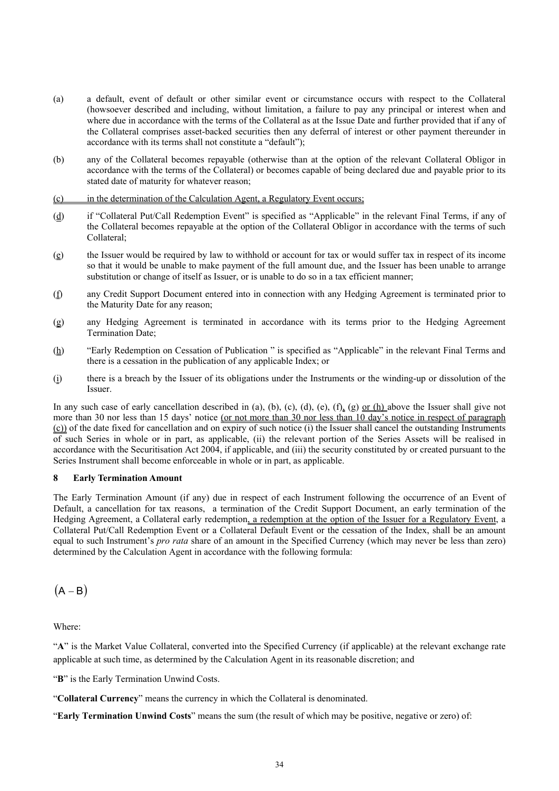- (a) a default, event of default or other similar event or circumstance occurs with respect to the Collateral (howsoever described and including, without limitation, a failure to pay any principal or interest when and where due in accordance with the terms of the Collateral as at the Issue Date and further provided that if any of the Collateral comprises asset-backed securities then any deferral of interest or other payment thereunder in accordance with its terms shall not constitute a "default");
- (b) any of the Collateral becomes repayable (otherwise than at the option of the relevant Collateral Obligor in accordance with the terms of the Collateral) or becomes capable of being declared due and payable prior to its stated date of maturity for whatever reason;

(c) in the determination of the Calculation Agent, a Regulatory Event occurs;

- (d) if "Collateral Put/Call Redemption Event" is specified as "Applicable" in the relevant Final Terms, if any of the Collateral becomes repayable at the option of the Collateral Obligor in accordance with the terms of such Collateral;
- (e) the Issuer would be required by law to withhold or account for tax or would suffer tax in respect of its income so that it would be unable to make payment of the full amount due, and the Issuer has been unable to arrange substitution or change of itself as Issuer, or is unable to do so in a tax efficient manner;
- (f) any Credit Support Document entered into in connection with any Hedging Agreement is terminated prior to the Maturity Date for any reason;
- (g) any Hedging Agreement is terminated in accordance with its terms prior to the Hedging Agreement Termination Date;
- (h) "Early Redemption on Cessation of Publication " is specified as "Applicable" in the relevant Final Terms and there is a cessation in the publication of any applicable Index; or
- (i) there is a breach by the Issuer of its obligations under the Instruments or the winding-up or dissolution of the Issuer.

In any such case of early cancellation described in (a), (b), (c), (d), (e), (f), (g) or (h) above the Issuer shall give not more than 30 nor less than 15 days' notice (or not more than 30 nor less than 10 day's notice in respect of paragraph (c)) of the date fixed for cancellation and on expiry of such notice (i) the Issuer shall cancel the outstanding Instruments of such Series in whole or in part, as applicable, (ii) the relevant portion of the Series Assets will be realised in accordance with the Securitisation Act 2004, if applicable, and (iii) the security constituted by or created pursuant to the Series Instrument shall become enforceable in whole or in part, as applicable.

### **8 Early Termination Amount**

The Early Termination Amount (if any) due in respect of each Instrument following the occurrence of an Event of Default, a cancellation for tax reasons, a termination of the Credit Support Document, an early termination of the Hedging Agreement, a Collateral early redemption, a redemption at the option of the Issuer for a Regulatory Event, a Collateral Put/Call Redemption Event or a Collateral Default Event or the cessation of the Index, shall be an amount equal to such Instrument's *pro rata* share of an amount in the Specified Currency (which may never be less than zero) determined by the Calculation Agent in accordance with the following formula:

 $(A - B)$ 

Where:

"**A**" is the Market Value Collateral, converted into the Specified Currency (if applicable) at the relevant exchange rate applicable at such time, as determined by the Calculation Agent in its reasonable discretion; and

"**B**" is the Early Termination Unwind Costs.

"**Collateral Currency**" means the currency in which the Collateral is denominated.

"**Early Termination Unwind Costs**" means the sum (the result of which may be positive, negative or zero) of: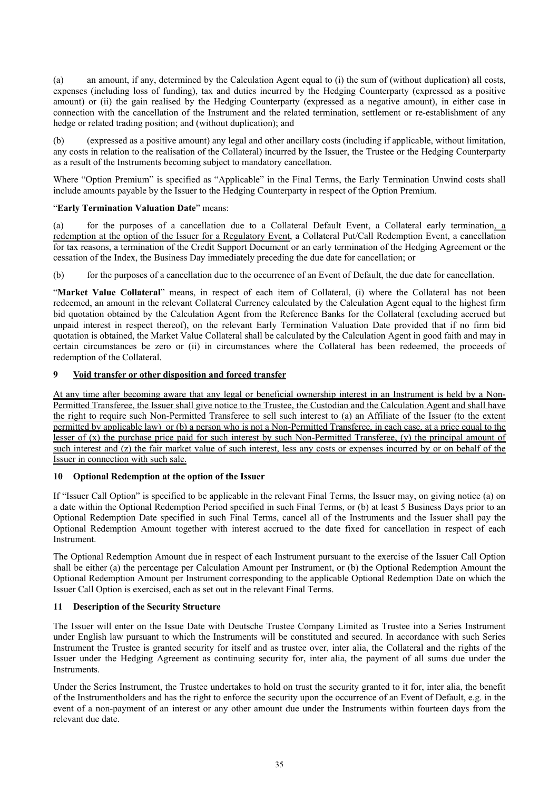(a) an amount, if any, determined by the Calculation Agent equal to (i) the sum of (without duplication) all costs, expenses (including loss of funding), tax and duties incurred by the Hedging Counterparty (expressed as a positive amount) or (ii) the gain realised by the Hedging Counterparty (expressed as a negative amount), in either case in connection with the cancellation of the Instrument and the related termination, settlement or re-establishment of any hedge or related trading position; and (without duplication); and

(b) (expressed as a positive amount) any legal and other ancillary costs (including if applicable, without limitation, any costs in relation to the realisation of the Collateral) incurred by the Issuer, the Trustee or the Hedging Counterparty as a result of the Instruments becoming subject to mandatory cancellation.

Where "Option Premium" is specified as "Applicable" in the Final Terms, the Early Termination Unwind costs shall include amounts payable by the Issuer to the Hedging Counterparty in respect of the Option Premium.

#### "**Early Termination Valuation Date**" means:

(a) for the purposes of a cancellation due to a Collateral Default Event, a Collateral early termination, a redemption at the option of the Issuer for a Regulatory Event, a Collateral Put/Call Redemption Event, a cancellation for tax reasons, a termination of the Credit Support Document or an early termination of the Hedging Agreement or the cessation of the Index, the Business Day immediately preceding the due date for cancellation; or

(b) for the purposes of a cancellation due to the occurrence of an Event of Default, the due date for cancellation.

"**Market Value Collateral**" means, in respect of each item of Collateral, (i) where the Collateral has not been redeemed, an amount in the relevant Collateral Currency calculated by the Calculation Agent equal to the highest firm bid quotation obtained by the Calculation Agent from the Reference Banks for the Collateral (excluding accrued but unpaid interest in respect thereof), on the relevant Early Termination Valuation Date provided that if no firm bid quotation is obtained, the Market Value Collateral shall be calculated by the Calculation Agent in good faith and may in certain circumstances be zero or (ii) in circumstances where the Collateral has been redeemed, the proceeds of redemption of the Collateral.

#### **9 Void transfer or other disposition and forced transfer**

At any time after becoming aware that any legal or beneficial ownership interest in an Instrument is held by a Non-Permitted Transferee, the Issuer shall give notice to the Trustee, the Custodian and the Calculation Agent and shall have the right to require such Non-Permitted Transferee to sell such interest to (a) an Affiliate of the Issuer (to the extent permitted by applicable law) or (b) a person who is not a Non-Permitted Transferee, in each case, at a price equal to the lesser of (x) the purchase price paid for such interest by such Non-Permitted Transferee, (y) the principal amount of such interest and (z) the fair market value of such interest, less any costs or expenses incurred by or on behalf of the Issuer in connection with such sale.

#### **10 Optional Redemption at the option of the Issuer**

If "Issuer Call Option" is specified to be applicable in the relevant Final Terms, the Issuer may, on giving notice (a) on a date within the Optional Redemption Period specified in such Final Terms, or (b) at least 5 Business Days prior to an Optional Redemption Date specified in such Final Terms, cancel all of the Instruments and the Issuer shall pay the Optional Redemption Amount together with interest accrued to the date fixed for cancellation in respect of each Instrument.

The Optional Redemption Amount due in respect of each Instrument pursuant to the exercise of the Issuer Call Option shall be either (a) the percentage per Calculation Amount per Instrument, or (b) the Optional Redemption Amount the Optional Redemption Amount per Instrument corresponding to the applicable Optional Redemption Date on which the Issuer Call Option is exercised, each as set out in the relevant Final Terms.

#### **11 Description of the Security Structure**

The Issuer will enter on the Issue Date with Deutsche Trustee Company Limited as Trustee into a Series Instrument under English law pursuant to which the Instruments will be constituted and secured. In accordance with such Series Instrument the Trustee is granted security for itself and as trustee over, inter alia, the Collateral and the rights of the Issuer under the Hedging Agreement as continuing security for, inter alia, the payment of all sums due under the Instruments.

Under the Series Instrument, the Trustee undertakes to hold on trust the security granted to it for, inter alia, the benefit of the Instrumentholders and has the right to enforce the security upon the occurrence of an Event of Default, e.g. in the event of a non-payment of an interest or any other amount due under the Instruments within fourteen days from the relevant due date.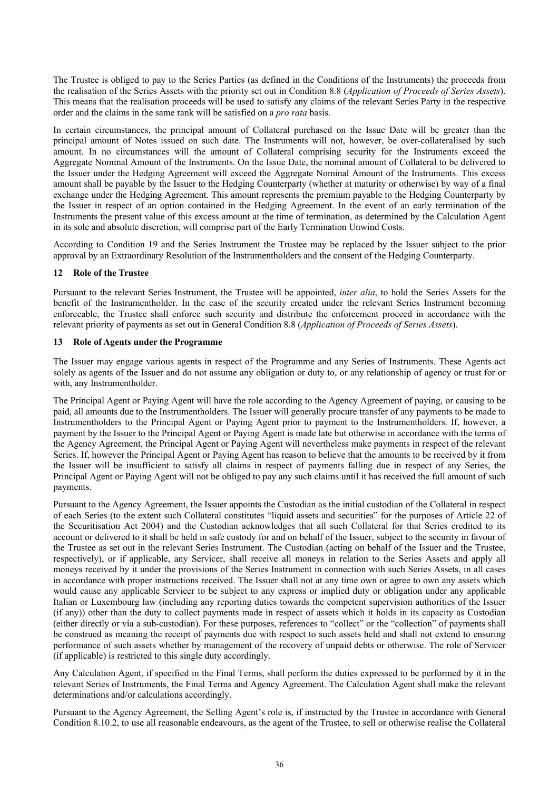The Trustee is obliged to pay to the Series Parties (as defined in the Conditions of the Instruments) the proceeds from the realisation of the Series Assets with the priority set out in Condition 8.8 (*Application of Proceeds of Series Assets*). This means that the realisation proceeds will be used to satisfy any claims of the relevant Series Party in the respective order and the claims in the same rank will be satisfied on a *pro rata* basis.

In certain circumstances, the principal amount of Collateral purchased on the Issue Date will be greater than the principal amount of Notes issued on such date. The Instruments will not, however, be over-collateralised by such amount. In no circumstances will the amount of Collateral comprising security for the Instruments exceed the Aggregate Nominal Amount of the Instruments. On the Issue Date, the nominal amount of Collateral to be delivered to the Issuer under the Hedging Agreement will exceed the Aggregate Nominal Amount of the Instruments. This excess amount shall be payable by the Issuer to the Hedging Counterparty (whether at maturity or otherwise) by way of a final exchange under the Hedging Agreement. This amount represents the premium payable to the Hedging Counterparty by the Issuer in respect of an option contained in the Hedging Agreement. In the event of an early termination of the Instruments the present value of this excess amount at the time of termination, as determined by the Calculation Agent in its sole and absolute discretion, will comprise part of the Early Termination Unwind Costs.

According to Condition 19 and the Series Instrument the Trustee may be replaced by the Issuer subject to the prior approval by an Extraordinary Resolution of the Instrumentholders and the consent of the Hedging Counterparty.

#### **12 Role of the Trustee**

Pursuant to the relevant Series Instrument, the Trustee will be appointed, *inter alia*, to hold the Series Assets for the benefit of the Instrumentholder. In the case of the security created under the relevant Series Instrument becoming enforceable, the Trustee shall enforce such security and distribute the enforcement proceed in accordance with the relevant priority of payments as set out in General Condition 8.8 (*Application of Proceeds of Series Assets*).

#### **13 Role of Agents under the Programme**

The Issuer may engage various agents in respect of the Programme and any Series of Instruments. These Agents act solely as agents of the Issuer and do not assume any obligation or duty to, or any relationship of agency or trust for or with, any Instrumentholder.

The Principal Agent or Paying Agent will have the role according to the Agency Agreement of paying, or causing to be paid, all amounts due to the Instrumentholders. The Issuer will generally procure transfer of any payments to be made to Instrumentholders to the Principal Agent or Paying Agent prior to payment to the Instrumentholders. If, however, a payment by the Issuer to the Principal Agent or Paying Agent is made late but otherwise in accordance with the terms of the Agency Agreement, the Principal Agent or Paying Agent will nevertheless make payments in respect of the relevant Series. If, however the Principal Agent or Paying Agent has reason to believe that the amounts to be received by it from the Issuer will be insufficient to satisfy all claims in respect of payments falling due in respect of any Series, the Principal Agent or Paying Agent will not be obliged to pay any such claims until it has received the full amount of such payments.

Pursuant to the Agency Agreement, the Issuer appoints the Custodian as the initial custodian of the Collateral in respect of each Series (to the extent such Collateral constitutes "liquid assets and securities" for the purposes of Article 22 of the Securitisation Act 2004) and the Custodian acknowledges that all such Collateral for that Series credited to its account or delivered to it shall be held in safe custody for and on behalf of the Issuer, subject to the security in favour of the Trustee as set out in the relevant Series Instrument. The Custodian (acting on behalf of the Issuer and the Trustee, respectively), or if applicable, any Servicer, shall receive all moneys in relation to the Series Assets and apply all moneys received by it under the provisions of the Series Instrument in connection with such Series Assets, in all cases in accordance with proper instructions received. The Issuer shall not at any time own or agree to own any assets which would cause any applicable Servicer to be subject to any express or implied duty or obligation under any applicable Italian or Luxembourg law (including any reporting duties towards the competent supervision authorities of the Issuer (if any)) other than the duty to collect payments made in respect of assets which it holds in its capacity as Custodian (either directly or via a sub-custodian). For these purposes, references to "collect" or the "collection" of payments shall be construed as meaning the receipt of payments due with respect to such assets held and shall not extend to ensuring performance of such assets whether by management of the recovery of unpaid debts or otherwise. The role of Servicer (if applicable) is restricted to this single duty accordingly.

Any Calculation Agent, if specified in the Final Terms, shall perform the duties expressed to be performed by it in the relevant Series of Instruments, the Final Terms and Agency Agreement. The Calculation Agent shall make the relevant determinations and/or calculations accordingly.

Pursuant to the Agency Agreement, the Selling Agent's role is, if instructed by the Trustee in accordance with General Condition 8.10.2, to use all reasonable endeavours, as the agent of the Trustee, to sell or otherwise realise the Collateral